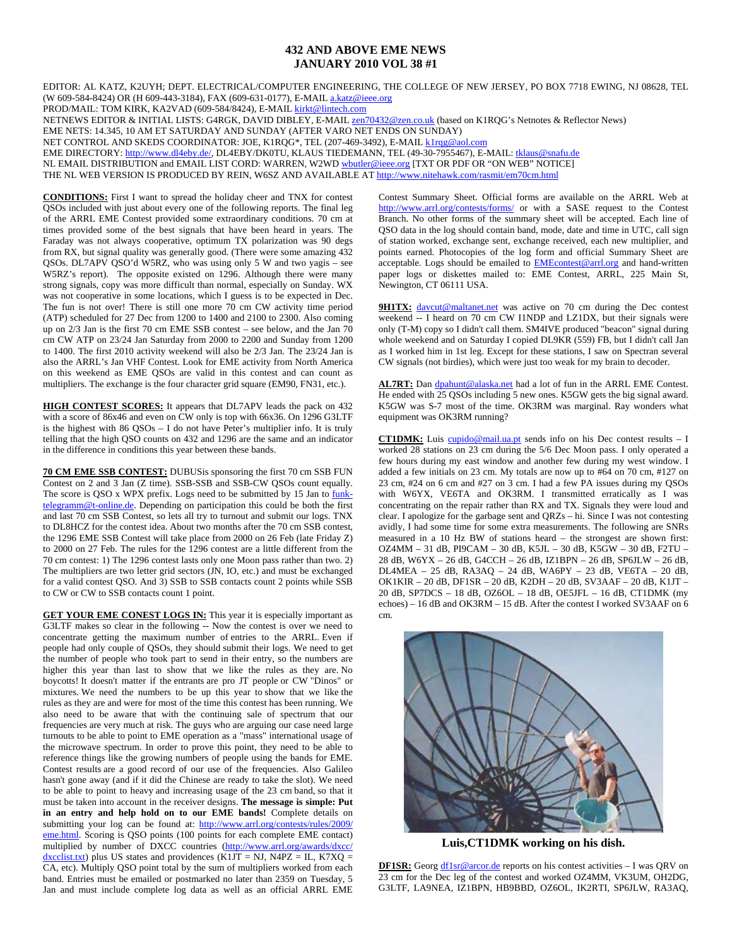## **432 AND ABOVE EME NEWS JANUARY 2010 VOL 38 #1**

EDITOR: AL KATZ, K2UYH; DEPT. ELECTRICAL/COMPUTER ENGINEERING, THE COLLEGE OF NEW JERSEY, PO BOX 7718 EWING, NJ 08628, TEL (W 609-584-8424) OR (H 609-443-3184), FAX (609-631-0177), E-MAIL a.katz@ieee.org

PROD/MAIL: TOM KIRK, KA2VAD (609-584/8424), E-MAIL kirkt@lintech.com

NETNEWS EDITOR & INITIAL LISTS: G4RGK, DAVID DIBLEY, E-MAIL *zen70432@zen.co.uk* (based on K1RQG's Netnotes & Reflector News)

EME NETS: 14.345, 10 AM ET SATURDAY AND SUNDAY (AFTER VARO NET ENDS ON SUNDAY)

NET CONTROL AND SKEDS COORDINATOR: JOE, K1RQG\*, TEL (207-469-3492), E-MAIL k1rqg@aol.com

EME DIRECTORY: http://www.dl4eby.de/, DL4EBY/DK0TU, KLAUS TIEDEMANN, TEL (49-30-7955467), E-MAIL: tklaus@snafu.de

NL EMAIL DISTRIBUTION and EMAIL LIST CORD: WARREN, W2WD wbutler@ieee.org [TXT OR PDF OR "ON WEB" NOTICE]

THE NL WEB VERSION IS PRODUCED BY REIN, W6SZ AND AVAILABLE AT http://www.nitehawk.com/rasmit/em70cm.html

**CONDITIONS:** First I want to spread the holiday cheer and TNX for contest QSOs included with just about every one of the following reports. The final leg of the ARRL EME Contest provided some extraordinary conditions. 70 cm at times provided some of the best signals that have been heard in years. The Faraday was not always cooperative, optimum TX polarization was 90 degs from RX, but signal quality was generally good. (There were some amazing 432 QSOs. DL7APV QSO'd W5RZ, who was using only 5 W and two yagis – see W5RZ's report). The opposite existed on 1296. Although there were many strong signals, copy was more difficult than normal, especially on Sunday. WX was not cooperative in some locations, which I guess is to be expected in Dec. The fun is not over! There is still one more 70 cm CW activity time period (ATP) scheduled for 27 Dec from 1200 to 1400 and 2100 to 2300. Also coming up on  $2/3$  Jan is the first 70 cm EME SSB contest – see below, and the Jan 70 cm CW ATP on 23/24 Jan Saturday from 2000 to 2200 and Sunday from 1200 to 1400. The first 2010 activity weekend will also be 2/3 Jan. The 23/24 Jan is also the ARRL's Jan VHF Contest. Look for EME activity from North America on this weekend as EME QSOs are valid in this contest and can count as multipliers. The exchange is the four character grid square (EM90, FN31, etc.).

**HIGH CONTEST SCORES:** It appears that DL7APV leads the pack on 432 with a score of 86x46 and even on CW only is top with 66x36. On 1296 G3LTF is the highest with 86 QSOs – I do not have Peter's multiplier info. It is truly telling that the high QSO counts on 432 and 1296 are the same and an indicator in the difference in conditions this year between these bands.

**70 CM EME SSB CONTEST:** DUBUSis sponsoring the first 70 cm SSB FUN Contest on 2 and 3 Jan (Z time). SSB-SSB and SSB-CW QSOs count equally. The score is QSO x WPX prefix. Logs need to be submitted by 15 Jan to funktelegramm@t-online.de. Depending on participation this could be both the first and last 70 cm SSB Contest, so lets all try to turnout and submit our logs. TNX to DL8HCZ for the contest idea. About two months after the 70 cm SSB contest, the 1296 EME SSB Contest will take place from 2000 on 26 Feb (late Friday Z) to 2000 on 27 Feb. The rules for the 1296 contest are a little different from the 70 cm contest: 1) The 1296 contest lasts only one Moon pass rather than two. 2) The multipliers are two letter grid sectors (JN, IO, etc.) and must be exchanged for a valid contest QSO. And 3) SSB to SSB contacts count 2 points while SSB to CW or CW to SSB contacts count 1 point.

**GET YOUR EME CONEST LOGS IN:** This year it is especially important as G3LTF makes so clear in the following -- Now the contest is over we need to concentrate getting the maximum number of entries to the ARRL. Even if people had only couple of QSOs, they should submit their logs. We need to get the number of people who took part to send in their entry, so the numbers are higher this year than last to show that we like the rules as they are. No boycotts! It doesn't matter if the entrants are pro JT people or CW "Dinos" or mixtures. We need the numbers to be up this year to show that we like the rules as they are and were for most of the time this contest has been running. We also need to be aware that with the continuing sale of spectrum that our frequencies are very much at risk. The guys who are arguing our case need large turnouts to be able to point to EME operation as a "mass" international usage of the microwave spectrum. In order to prove this point, they need to be able to reference things like the growing numbers of people using the bands for EME. Contest results are a good record of our use of the frequencies. Also Galileo hasn't gone away (and if it did the Chinese are ready to take the slot). We need to be able to point to heavy and increasing usage of the 23 cm band, so that it must be taken into account in the receiver designs. **The message is simple: Put in an entry and help hold on to our EME bands!** Complete details on submitting your log can be found at: http://www.arrl.org/contests/rules/2009/ eme.html. Scoring is QSO points (100 points for each complete EME contact) multiplied by number of DXCC countries (http://www.arrl.org/awards/dxcc/  $\frac{d\textrm{xcclist.txt}}{d\textrm{xcclist.txt}}$  plus US states and providences  $(\overrightarrow{K11T} = \textrm{NJ}, \textrm{N4PZ} = \textrm{IL}, \textrm{K7XO} =$ CA, etc). Multiply QSO point total by the sum of multipliers worked from each band. Entries must be emailed or postmarked no later than 2359 on Tuesday, 5 Jan and must include complete log data as well as an official ARRL EME Contest Summary Sheet. Official forms are available on the ARRL Web at http://www.arrl.org/contests/forms/ or with a SASE request to the Contest Branch. No other forms of the summary sheet will be accepted. Each line of QSO data in the log should contain band, mode, date and time in UTC, call sign of station worked, exchange sent, exchange received, each new multiplier, and points earned. Photocopies of the log form and official Summary Sheet are acceptable. Logs should be emailed to **EME**contest@arrl.org and hand-written paper logs or diskettes mailed to: EME Contest, ARRL, 225 Main St, Newington, CT 06111 USA.

**9H1TX:** davcut@maltanet.net was active on 70 cm during the Dec contest weekend -- I heard on 70 cm CW I1NDP and LZ1DX, but their signals were only (T-M) copy so I didn't call them. SM4IVE produced "beacon" signal during whole weekend and on Saturday I copied DL9KR (559) FB, but I didn't call Jan as I worked him in 1st leg. Except for these stations, I saw on Spectran several CW signals (not birdies), which were just too weak for my brain to decoder.

AL7RT: Dan dpahunt@alaska.net had a lot of fun in the ARRL EME Contest. He ended with 25 QSOs including 5 new ones. K5GW gets the big signal award. K5GW was S-7 most of the time. OK3RM was marginal. Ray wonders what equipment was OK3RM running?

**CT1DMK:** Luis cupido@mail.ua.pt sends info on his Dec contest results – I worked 28 stations on 23 cm during the 5/6 Dec Moon pass. I only operated a few hours during my east window and another few during my west window. I added a few initials on 23 cm. My totals are now up to #64 on 70 cm, #127 on 23 cm, #24 on 6 cm and #27 on 3 cm. I had a few PA issues during my QSOs with W6YX, VE6TA and OK3RM. I transmitted erratically as I was concentrating on the repair rather than RX and TX. Signals they were loud and clear. I apologize for the garbage sent and QRZs – hi. Since I was not contesting avidly, I had some time for some extra measurements. The following are SNRs measured in a 10 Hz BW of stations heard – the strongest are shown first: OZ4MM – 31 dB, PI9CAM – 30 dB, K5JL – 30 dB, K5GW – 30 dB, F2TU – 28 dB, W6YX – 26 dB, G4CCH – 26 dB, IZ1BPN – 26 dB, SP6JLW – 26 dB, DL4MEA – 25 dB, RA3AQ – 24 dB, WA6PY – 23 dB, VE6TA – 20 dB, OK1KIR – 20 dB, DF1SR – 20 dB, K2DH – 20 dB, SV3AAF – 20 dB, K1JT – 20 dB, SP7DCS – 18 dB, OZ6OL – 18 dB, OE5JFL – 16 dB, CT1DMK (my echoes) – 16 dB and OK3RM – 15 dB. After the contest I worked SV3AAF on 6 cm.



**Luis,CT1DMK working on his dish.** 

**DF1SR:** Georg **df1sr@arcor.de** reports on his contest activities - I was QRV on 23 cm for the Dec leg of the contest and worked OZ4MM, VK3UM, OH2DG, G3LTF, LA9NEA, IZ1BPN, HB9BBD, OZ6OL, IK2RTI, SP6JLW, RA3AQ,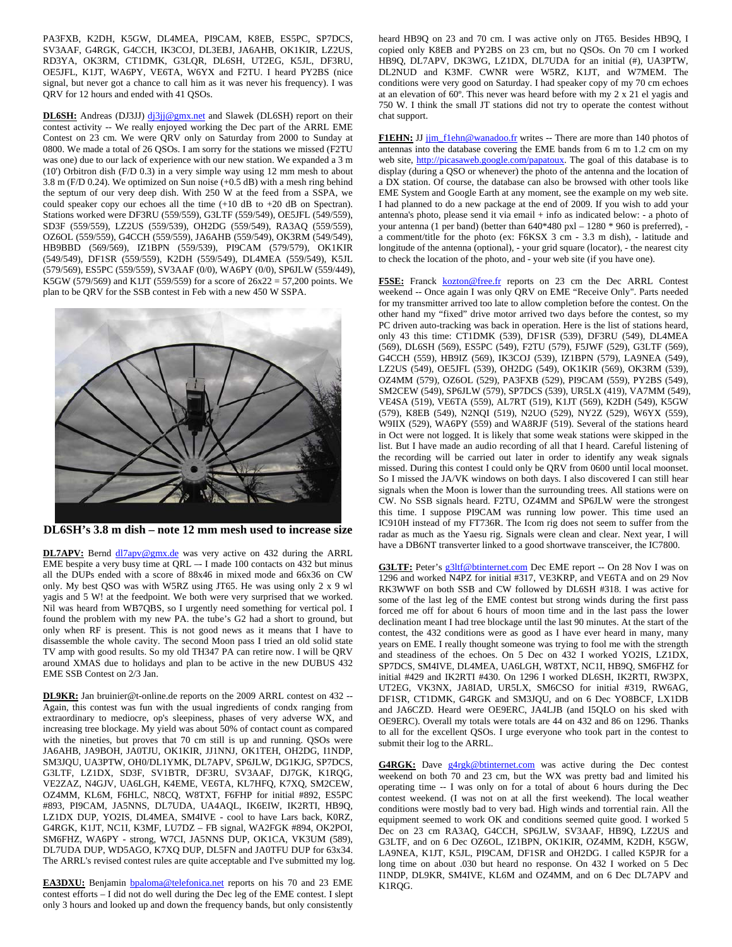PA3FXB, K2DH, K5GW, DL4MEA, PI9CAM, K8EB, ES5PC, SP7DCS, SV3AAF, G4RGK, G4CCH, IK3COJ, DL3EBJ, JA6AHB, OK1KIR, LZ2US, RD3YA, OK3RM, CT1DMK, G3LQR, DL6SH, UT2EG, K5JL, DF3RU, OE5JFL, K1JT, WA6PY, VE6TA, W6YX and F2TU. I heard PY2BS (nice signal, but never got a chance to call him as it was never his frequency). I was QRV for 12 hours and ended with 41 QSOs.

DL6SH: Andreas (DJ3JJ) dj3jj@gmx.net and Slawek (DL6SH) report on their contest activity -- We really enjoyed working the Dec part of the ARRL EME Contest on 23 cm. We were QRV only on Saturday from 2000 to Sunday at 0800. We made a total of 26 QSOs. I am sorry for the stations we missed (F2TU was one) due to our lack of experience with our new station. We expanded a 3 m (10') Orbitron dish (F/D 0.3) in a very simple way using 12 mm mesh to about 3.8 m (F/D 0.24). We optimized on Sun noise (+0.5 dB) with a mesh ring behind the septum of our very deep dish. With 250 W at the feed from a SSPA, we could speaker copy our echoes all the time (+10 dB to +20 dB on Spectran). Stations worked were DF3RU (559/559), G3LTF (559/549), OE5JFL (549/559), SD3F (559/559), LZ2US (559/539), OH2DG (559/549), RA3AQ (559/559), OZ6OL (559/559), G4CCH (559/559), JA6AHB (559/549), OK3RM (549/549), HB9BBD (569/569), IZ1BPN (559/539), PI9CAM (579/579), OK1KIR (549/549), DF1SR (559/559), K2DH (559/549), DL4MEA (559/549), K5JL (579/569), ES5PC (559/559), SV3AAF (0/0), WA6PY (0/0), SP6JLW (559/449), K5GW (579/569) and K1JT (559/559) for a score of  $26x22 = 57,200$  points. We plan to be QRV for the SSB contest in Feb with a new 450 W SSPA.



**DL6SH's 3.8 m dish – note 12 mm mesh used to increase size** 

**DL7APV:** Bernd  $\frac{dl7apv@gmx.de}{dl7apv@gmx.de}$  was very active on 432 during the ARRL EME bespite a very busy time at QRL –- I made 100 contacts on 432 but minus all the DUPs ended with a score of 88x46 in mixed mode and 66x36 on CW only. My best QSO was with W5RZ using JT65. He was using only 2 x 9 wl yagis and 5 W! at the feedpoint. We both were very surprised that we worked. Nil was heard from WB7QBS, so I urgently need something for vertical pol. I found the problem with my new PA. the tube's G2 had a short to ground, but only when RF is present. This is not good news as it means that I have to disassemble the whole cavity. The second Moon pass I tried an old solid state TV amp with good results. So my old TH347 PA can retire now. I will be QRV around XMAS due to holidays and plan to be active in the new DUBUS 432 EME SSB Contest on 2/3 Jan.

**DL9KR:** Jan bruinier@t-online.de reports on the 2009 ARRL contest on 432 -- Again, this contest was fun with the usual ingredients of condx ranging from extraordinary to mediocre, op's sleepiness, phases of very adverse WX, and increasing tree blockage. My yield was about 50% of contact count as compared with the nineties, but proves that 70 cm still is up and running. QSOs were JA6AHB, JA9BOH, JA0TJU, OK1KIR, JJ1NNJ, OK1TEH, OH2DG, I1NDP, SM3JQU, UA3PTW, OH0/DL1YMK, DL7APV, SP6JLW, DG1KJG, SP7DCS, G3LTF, LZ1DX, SD3F, SV1BTR, DF3RU, SV3AAF, DJ7GK, K1RQG, VE2ZAZ, N4GJV, UA6LGH, K4EME, VE6TA, KL7HFQ, K7XQ, SM2CEW, OZ4MM, KL6M, F6HLC, N8CQ, W8TXT, F6FHP for initial #892, ES5PC #893, PI9CAM, JA5NNS, DL7UDA, UA4AQL, IK6EIW, IK2RTI, HB9Q, LZ1DX DUP, YO2IS, DL4MEA, SM4IVE - cool to have Lars back, K0RZ, G4RGK, K1JT, NC1I, K3MF, LU7DZ – FB signal, WA2FGK #894, OK2POI, SM6FHZ, WA6PY - strong, W7CI, JA5NNS DUP, OK1CA, VK3UM (589), DL7UDA DUP, WD5AGO, K7XQ DUP, DL5FN and JA0TFU DUP for 63x34. The ARRL's revised contest rules are quite acceptable and I've submitted my log.

**EA3DXU:** Benjamin bpaloma@telefonica.net reports on his 70 and 23 EME contest efforts – I did not do well during the Dec leg of the EME contest. I slept only 3 hours and looked up and down the frequency bands, but only consistently

heard HB9Q on 23 and 70 cm. I was active only on JT65. Besides HB9Q, I copied only K8EB and PY2BS on 23 cm, but no QSOs. On 70 cm I worked HB9Q, DL7APV, DK3WG, LZ1DX, DL7UDA for an initial (#), UA3PTW, DL2NUD and K3MF. CWNR were W5RZ, K1JT, and W7MEM. The conditions were very good on Saturday. I had speaker copy of my 70 cm echoes at an elevation of 60º. This never was heard before with my 2 x 21 el yagis and 750 W. I think the small JT stations did not try to operate the contest without chat support.

F1EHN: JJ jim\_f1ehn@wanadoo.fr writes -- There are more than 140 photos of antennas into the database covering the EME bands from 6 m to 1.2 cm on my web site, http://picasaweb.google.com/papatoux. The goal of this database is to display (during a QSO or whenever) the photo of the antenna and the location of a DX station. Of course, the database can also be browsed with other tools like EME System and Google Earth at any moment, see the example on my web site. I had planned to do a new package at the end of 2009. If you wish to add your antenna's photo, please send it via email + info as indicated below: - a photo of your antenna (1 per band) (better than  $640*480$  pxl  $- 1280 * 960$  is preferred), a comment/title for the photo (ex: F6KSX 3 cm - 3.3 m dish), - latitude and longitude of the antenna (optional), - your grid square (locator), - the nearest city to check the location of the photo, and - your web site (if you have one).

**F5SE:** Franck kozton@free.fr reports on 23 cm the Dec ARRL Contest weekend -- Once again I was only QRV on EME "Receive Only". Parts needed for my transmitter arrived too late to allow completion before the contest. On the other hand my "fixed" drive motor arrived two days before the contest, so my PC driven auto-tracking was back in operation. Here is the list of stations heard, only 43 this time: CT1DMK (539), DF1SR (539), DF3RU (549), DL4MEA (569), DL6SH (569), ES5PC (549), F2TU (579), F5JWF (529), G3LTF (569), G4CCH (559), HB9IZ (569), IK3COJ (539), IZ1BPN (579), LA9NEA (549), LZ2US (549), OE5JFL (539), OH2DG (549), OK1KIR (569), OK3RM (539), OZ4MM (579), OZ6OL (529), PA3FXB (529), PI9CAM (559), PY2BS (549), SM2CEW (549), SP6JLW (579), SP7DCS (539), UR5LX (419), VA7MM (549), VE4SA (519), VE6TA (559), AL7RT (519), K1JT (569), K2DH (549), K5GW (579), K8EB (549), N2NQI (519), N2UO (529), NY2Z (529), W6YX (559), W9IIX (529), WA6PY (559) and WA8RJF (519). Several of the stations heard in Oct were not logged. It is likely that some weak stations were skipped in the list. But I have made an audio recording of all that I heard. Careful listening of the recording will be carried out later in order to identify any weak signals missed. During this contest I could only be QRV from 0600 until local moonset. So I missed the JA/VK windows on both days. I also discovered I can still hear signals when the Moon is lower than the surrounding trees. All stations were on CW. No SSB signals heard. F2TU, OZ4MM and SP6JLW were the strongest this time. I suppose PI9CAM was running low power. This time used an IC910H instead of my FT736R. The Icom rig does not seem to suffer from the radar as much as the Yaesu rig. Signals were clean and clear. Next year, I will have a DB6NT transverter linked to a good shortwave transceiver, the IC7800.

G3LTF: Peter's g3ltf@btinternet.com Dec EME report -- On 28 Nov I was on 1296 and worked N4PZ for initial #317, VE3KRP, and VE6TA and on 29 Nov RK3WWF on both SSB and CW followed by DL6SH #318. I was active for some of the last leg of the EME contest but strong winds during the first pass forced me off for about 6 hours of moon time and in the last pass the lower declination meant I had tree blockage until the last 90 minutes. At the start of the contest, the 432 conditions were as good as I have ever heard in many, many years on EME. I really thought someone was trying to fool me with the strength and steadiness of the echoes. On 5 Dec on 432 I worked YO2IS, LZ1DX, SP7DCS, SM4IVE, DL4MEA, UA6LGH, W8TXT, NC1I, HB9Q, SM6FHZ for initial #429 and IK2RTI #430. On 1296 I worked DL6SH, IK2RTI, RW3PX, UT2EG, VK3NX, JA8IAD, UR5LX, SM6CSO for initial #319, RW6AG, DF1SR, CT1DMK, G4RGK and SM3JQU, and on 6 Dec YO8BCF, LX1DB and JA6CZD. Heard were OE9ERC, JA4LJB (and I5QLO on his sked with OE9ERC). Overall my totals were totals are 44 on 432 and 86 on 1296. Thanks to all for the excellent QSOs. I urge everyone who took part in the contest to submit their log to the ARRL.

G4RGK: Dave g4rgk@btinternet.com was active during the Dec contest weekend on both 70 and 23 cm, but the WX was pretty bad and limited his operating time -- I was only on for a total of about 6 hours during the Dec contest weekend. (I was not on at all the first weekend). The local weather conditions were mostly bad to very bad. High winds and torrential rain. All the equipment seemed to work OK and conditions seemed quite good. I worked 5 Dec on 23 cm RA3AQ, G4CCH, SP6JLW, SV3AAF, HB9Q, LZ2US and G3LTF, and on 6 Dec OZ6OL, IZ1BPN, OK1KIR, OZ4MM, K2DH, K5GW, LA9NEA, K1JT, K5JL, PI9CAM, DF1SR and OH2DG. I called K5PJR for a long time on about .030 but heard no response. On 432 I worked on 5 Dec I1NDP, DL9KR, SM4IVE, KL6M and OZ4MM, and on 6 Dec DL7APV and K1RQG.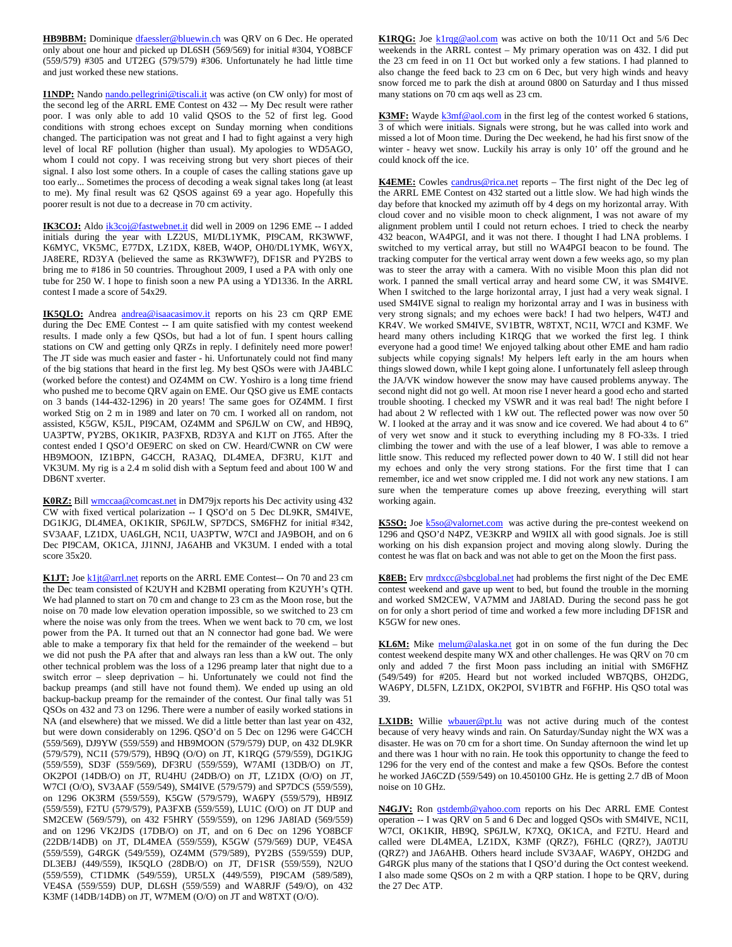HB9BBM: Dominique dfaessler@bluewin.ch was QRV on 6 Dec. He operated only about one hour and picked up DL6SH (569/569) for initial #304, YO8BCF (559/579) #305 and UT2EG (579/579) #306. Unfortunately he had little time and just worked these new stations.

**I1NDP:** Nando nando.pellegrini@tiscali.it was active (on CW only) for most of the second leg of the ARRL EME Contest on 432 -- My Dec result were rather poor. I was only able to add 10 valid QSOS to the 52 of first leg. Good conditions with strong echoes except on Sunday morning when conditions changed. The participation was not great and I had to fight against a very high level of local RF pollution (higher than usual). My apologies to WD5AGO, whom I could not copy. I was receiving strong but very short pieces of their signal. I also lost some others. In a couple of cases the calling stations gave up too early... Sometimes the process of decoding a weak signal takes long (at least to me). My final result was 62 QSOS against 69 a year ago. Hopefully this poorer result is not due to a decrease in 70 cm activity.

IK3COJ: Aldo *ik3coj@fastwebnet.it did well in 2009 on 1296* EME -- I added initials during the year with LZ2US, MI/DL1YMK, PI9CAM, RK3WWF, K6MYC, VK5MC, E77DX, LZ1DX, K8EB, W4OP, OH0/DL1YMK, W6YX, JA8ERE, RD3YA (believed the same as RK3WWF?), DF1SR and PY2BS to bring me to #186 in 50 countries. Throughout 2009, I used a PA with only one tube for 250 W. I hope to finish soon a new PA using a YD1336. In the ARRL contest I made a score of 54x29.

**IK5QLO:** Andrea andrea@isaacasimov.it reports on his 23 cm QRP EME during the Dec EME Contest -- I am quite satisfied with my contest weekend results. I made only a few QSOs, but had a lot of fun. I spent hours calling stations on CW and getting only QRZs in reply. I definitely need more power! The JT side was much easier and faster - hi. Unfortunately could not find many of the big stations that heard in the first leg. My best QSOs were with JA4BLC (worked before the contest) and OZ4MM on CW. Yoshiro is a long time friend who pushed me to become QRV again on EME. Our QSO give us EME contacts on 3 bands (144-432-1296) in 20 years! The same goes for OZ4MM. I first worked Stig on 2 m in 1989 and later on 70 cm. I worked all on random, not assisted, K5GW, K5JL, PI9CAM, OZ4MM and SP6JLW on CW, and HB9Q, UA3PTW, PY2BS, OK1KIR, PA3FXB, RD3YA and K1JT on JT65. After the contest ended I QSO'd OE9ERC on sked on CW. Heard/CWNR on CW were HB9MOON, IZ1BPN, G4CCH, RA3AQ, DL4MEA, DF3RU, K1JT and VK3UM. My rig is a 2.4 m solid dish with a Septum feed and about 100 W and DB6NT xverter.

**K0RZ:** Bill wmccaa@comcast.net in DM79jx reports his Dec activity using 432 CW with fixed vertical polarization -- I QSO'd on 5 Dec DL9KR, SM4IVE, DG1KJG, DL4MEA, OK1KIR, SP6JLW, SP7DCS, SM6FHZ for initial #342, SV3AAF, LZ1DX, UA6LGH, NC1I, UA3PTW, W7CI and JA9BOH, and on 6 Dec PI9CAM, OK1CA, JJ1NNJ, JA6AHB and VK3UM. I ended with a total score 35x20.

K1JT: Joe k1jt@arrl.net reports on the ARRL EME Contest-- On 70 and 23 cm the Dec team consisted of K2UYH and K2BMI operating from K2UYH's QTH. We had planned to start on 70 cm and change to 23 cm as the Moon rose, but the noise on 70 made low elevation operation impossible, so we switched to 23 cm where the noise was only from the trees. When we went back to 70 cm, we lost power from the PA. It turned out that an N connector had gone bad. We were able to make a temporary fix that held for the remainder of the weekend – but we did not push the PA after that and always ran less than a kW out. The only other technical problem was the loss of a 1296 preamp later that night due to a switch error – sleep deprivation – hi. Unfortunately we could not find the backup preamps (and still have not found them). We ended up using an old backup-backup preamp for the remainder of the contest. Our final tally was 51 QSOs on 432 and 73 on 1296. There were a number of easily worked stations in NA (and elsewhere) that we missed. We did a little better than last year on 432, but were down considerably on 1296. QSO'd on 5 Dec on 1296 were G4CCH (559/569), DJ9YW (559/559) and HB9MOON (579/579) DUP, on 432 DL9KR (579/579), NC1I (579/579), HB9Q (O/O) on JT, K1RQG (579/559), DG1KJG (559/559), SD3F (559/569), DF3RU (559/559), W7AMI (13DB/O) on JT, OK2POI (14DB/O) on JT, RU4HU (24DB/O) on JT, LZ1DX (O/O) on JT, W7CI (O/O), SV3AAF (559/549), SM4IVE (579/579) and SP7DCS (559/559), on 1296 OK3RM (559/559), K5GW (579/579), WA6PY (559/579), HB9IZ (559/559), F2TU (579/579), PA3FXB (559/559), LU1C (O/O) on JT DUP and SM2CEW (569/579), on 432 F5HRY (559/559), on 1296 JA8IAD (569/559) and on 1296 VK2JDS (17DB/O) on JT, and on 6 Dec on 1296 YO8BCF (22DB/14DB) on JT, DL4MEA (559/559), K5GW (579/569) DUP, VE4SA (559/559), G4RGK (549/559), OZ4MM (579/589), PY2BS (559/559) DUP, DL3EBJ (449/559), IK5QLO (28DB/O) on JT, DF1SR (559/559), N2UO (559/559), CT1DMK (549/559), UR5LX (449/559), PI9CAM (589/589), VE4SA (559/559) DUP, DL6SH (559/559) and WA8RJF (549/O), on 432 K3MF (14DB/14DB) on JT, W7MEM (O/O) on JT and W8TXT (O/O).

K1RQG: Joe k1rqg@aol.com was active on both the 10/11 Oct and 5/6 Dec weekends in the ARRL contest – My primary operation was on 432. I did put the 23 cm feed in on 11 Oct but worked only a few stations. I had planned to also change the feed back to 23 cm on 6 Dec, but very high winds and heavy snow forced me to park the dish at around 0800 on Saturday and I thus missed many stations on 70 cm aqs well as 23 cm.

K3MF: Wayde k3mf@aol.com in the first leg of the contest worked 6 stations, 3 of which were initials. Signals were strong, but he was called into work and missed a lot of Moon time. During the Dec weekend, he had his first snow of the winter - heavy wet snow. Luckily his array is only 10' off the ground and he could knock off the ice.

K4EME: Cowles candrus@rica.net reports - The first night of the Dec leg of the ARRL EME Contest on 432 started out a little slow. We had high winds the day before that knocked my azimuth off by 4 degs on my horizontal array. With cloud cover and no visible moon to check alignment, I was not aware of my alignment problem until I could not return echoes. I tried to check the nearby 432 beacon, WA4PGI, and it was not there. I thought I had LNA problems. I switched to my vertical array, but still no WA4PGI beacon to be found. The tracking computer for the vertical array went down a few weeks ago, so my plan was to steer the array with a camera. With no visible Moon this plan did not work. I panned the small vertical array and heard some CW, it was SM4IVE. When I switched to the large horizontal array, I just had a very weak signal. I used SM4IVE signal to realign my horizontal array and I was in business with very strong signals; and my echoes were back! I had two helpers, W4TJ and KR4V. We worked SM4IVE, SV1BTR, W8TXT, NC1I, W7CI and K3MF. We heard many others including K1RQG that we worked the first leg. I think everyone had a good time! We enjoyed talking about other EME and ham radio subjects while copying signals! My helpers left early in the am hours when things slowed down, while I kept going alone. I unfortunately fell asleep through the JA/VK window however the snow may have caused problems anyway. The second night did not go well. At moon rise I never heard a good echo and started trouble shooting. I checked my VSWR and it was real bad! The night before I had about 2 W reflected with 1 kW out. The reflected power was now over 50 W. I looked at the array and it was snow and ice covered. We had about 4 to 6" of very wet snow and it stuck to everything including my 8 FO-33s. I tried climbing the tower and with the use of a leaf blower, I was able to remove a little snow. This reduced my reflected power down to 40 W. I still did not hear my echoes and only the very strong stations. For the first time that I can remember, ice and wet snow crippled me. I did not work any new stations. I am sure when the temperature comes up above freezing, everything will start working again.

**K5SO:** Joe **k5so@valornet.com** was active during the pre-contest weekend on 1296 and QSO'd N4PZ, VE3KRP and W9IIX all with good signals. Joe is still working on his dish expansion project and moving along slowly. During the contest he was flat on back and was not able to get on the Moon the first pass.

**K8EB:** Erv mrdxcc@sbcglobal.net had problems the first night of the Dec EME contest weekend and gave up went to bed, but found the trouble in the morning and worked SM2CEW, VA7MM and JA8IAD. During the second pass he got on for only a short period of time and worked a few more including DF1SR and K5GW for new ones.

KL6M: Mike melum@alaska.net got in on some of the fun during the Dec contest weekend despite many WX and other challenges. He was QRV on 70 cm only and added 7 the first Moon pass including an initial with SM6FHZ (549/549) for #205. Heard but not worked included WB7QBS, OH2DG, WA6PY, DL5FN, LZ1DX, OK2POI, SV1BTR and F6FHP. His QSO total was 39.

**LX1DB:** Willie **wbauer@pt.lu** was not active during much of the contest because of very heavy winds and rain. On Saturday/Sunday night the WX was a disaster. He was on 70 cm for a short time. On Sunday afternoon the wind let up and there was 1 hour with no rain. He took this opportunity to change the feed to 1296 for the very end of the contest and make a few QSOs. Before the contest he worked JA6CZD (559/549) on 10.450100 GHz. He is getting 2.7 dB of Moon noise on 10 GHz.

N4GJV: Ron *qstdemb@yahoo.com* reports on his Dec ARRL EME Contest operation -- I was QRV on 5 and 6 Dec and logged QSOs with SM4IVE, NC1I, W7CI, OK1KIR, HB9Q, SP6JLW, K7XQ, OK1CA, and F2TU. Heard and called were DL4MEA, LZ1DX, K3MF (QRZ?), F6HLC (QRZ?), JA0TJU (QRZ?) and JA6AHB. Others heard include SV3AAF, WA6PY, OH2DG and G4RGK plus many of the stations that I QSO'd during the Oct contest weekend. I also made some QSOs on 2 m with a QRP station. I hope to be QRV, during the 27 Dec ATP.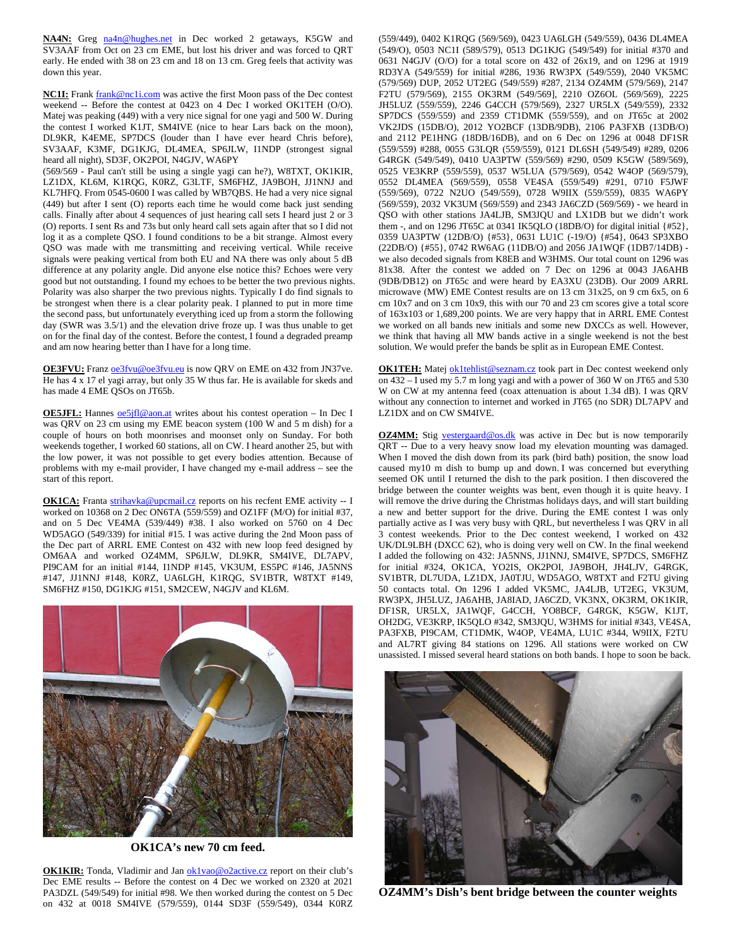NA4N: Greg na4n@hughes.net in Dec worked 2 getaways, K5GW and SV3AAF from Oct on 23 cm EME, but lost his driver and was forced to QRT early. He ended with 38 on 23 cm and 18 on 13 cm. Greg feels that activity was down this year.

**NC1I:** Frank frank@nc1i.com was active the first Moon pass of the Dec contest weekend -- Before the contest at 0423 on 4 Dec I worked OK1TEH (O/O). Matej was peaking (449) with a very nice signal for one yagi and 500 W. During the contest I worked K1JT, SM4IVE (nice to hear Lars back on the moon), DL9KR, K4EME, SP7DCS (louder than I have ever heard Chris before), SV3AAF, K3MF, DG1KJG, DL4MEA, SP6JLW, I1NDP (strongest signal heard all night), SD3F, OK2POI, N4GJV, WA6PY

(569/569 - Paul can't still be using a single yagi can he?), W8TXT, OK1KIR, LZ1DX, KL6M, K1RQG, K0RZ, G3LTF, SM6FHZ, JA9BOH, JJ1NNJ and KL7HFQ. From 0545-0600 I was called by WB7QBS. He had a very nice signal (449) but after I sent (O) reports each time he would come back just sending calls. Finally after about 4 sequences of just hearing call sets I heard just 2 or 3 (O) reports. I sent Rs and 73s but only heard call sets again after that so I did not log it as a complete QSO. I found conditions to be a bit strange. Almost every QSO was made with me transmitting and receiving vertical. While receive signals were peaking vertical from both EU and NA there was only about 5 dB difference at any polarity angle. Did anyone else notice this? Echoes were very good but not outstanding. I found my echoes to be better the two previous nights. Polarity was also sharper the two previous nights. Typically I do find signals to be strongest when there is a clear polarity peak. I planned to put in more time the second pass, but unfortunately everything iced up from a storm the following day (SWR was 3.5/1) and the elevation drive froze up. I was thus unable to get on for the final day of the contest. Before the contest, I found a degraded preamp and am now hearing better than I have for a long time.

**OE3FVU:** Franz oe3fvu@oe3fvu.eu is now QRV on EME on 432 from JN37ve. He has 4 x 17 el yagi array, but only 35 W thus far. He is available for skeds and has made 4 EME QSOs on JT65b.

**OE5JFL:** Hannes **oe5jfl@aon.at** writes about his contest operation - In Dec I was QRV on 23 cm using my EME beacon system (100 W and 5 m dish) for a couple of hours on both moonrises and moonset only on Sunday. For both weekends together, I worked 60 stations, all on CW. I heard another 25, but with the low power, it was not possible to get every bodies attention. Because of problems with my e-mail provider, I have changed my e-mail address – see the start of this report.

**OK1CA:** Franta strihavka@upcmail.cz reports on his recfent EME activity -- I worked on 10368 on 2 Dec ON6TA (559/559) and OZ1FF (M/O) for initial #37, and on 5 Dec VE4MA (539/449) #38. I also worked on 5760 on 4 Dec WD5AGO (549/339) for initial #15. I was active during the 2nd Moon pass of the Dec part of ARRL EME Contest on 432 with new loop feed designed by OM6AA and worked OZ4MM, SP6JLW, DL9KR, SM4IVE, DL7APV, PI9CAM for an initial #144, I1NDP #145, VK3UM, ES5PC #146, JA5NNS #147, JJ1NNJ #148, K0RZ, UA6LGH, K1RQG, SV1BTR, W8TXT #149, SM6FHZ #150, DG1KJG #151, SM2CEW, N4GJV and KL6M.



**OK1CA's new 70 cm feed.** 

**OK1KIR:** Tonda, Vladimir and Jan ok1vao@o2active.cz report on their club's Dec EME results -- Before the contest on 4 Dec we worked on 2320 at 2021 PA3DZL (549/549) for initial #98. We then worked during the contest on 5 Dec on 432 at 0018 SM4IVE (579/559), 0144 SD3F (559/549), 0344 K0RZ

(559/449), 0402 K1RQG (569/569), 0423 UA6LGH (549/559), 0436 DL4MEA (549/O), 0503 NC1I (589/579), 0513 DG1KJG (549/549) for initial #370 and 0631 N4GJV (O/O) for a total score on 432 of 26x19, and on 1296 at 1919 RD3YA (549/559) for initial #286, 1936 RW3PX (549/559), 2040 VK5MC (579/569) DUP, 2052 UT2EG (549/559) #287, 2134 OZ4MM (579/569), 2147 F2TU (579/569), 2155 OK3RM (549/569], 2210 OZ6OL (569/569), 2225 JH5LUZ (559/559), 2246 G4CCH (579/569), 2327 UR5LX (549/559), 2332 SP7DCS (559/559) and 2359 CT1DMK (559/559), and on JT65c at 2002 VK2JDS (15DB/O), 2012 YO2BCF (13DB/9DB), 2106 PA3FXB (13DB/O) and 2112 PE1HNG (18DB/16DB), and on 6 Dec on 1296 at 0048 DF1SR (559/559) #288, 0055 G3LQR (559/559), 0121 DL6SH (549/549) #289, 0206 G4RGK (549/549), 0410 UA3PTW (559/569) #290, 0509 K5GW (589/569), 0525 VE3KRP (559/559), 0537 W5LUA (579/569), 0542 W4OP (569/579), 0552 DL4MEA (569/559), 0558 VE4SA (559/549) #291, 0710 F5JWF (559/569), 0722 N2UO (549/559), 0728 W9IIX (559/559), 0835 WA6PY (569/559), 2032 VK3UM (569/559) and 2343 JA6CZD (569/569) - we heard in QSO with other stations JA4LJB, SM3JQU and LX1DB but we didn't work them -, and on 1296 JT65C at 0341 IK5QLO (18DB/O) for digital initial {#52}, 0359 UA3PTW (12DB/O) {#53}, 0631 LU1C (-19/O) {#54}, 0643 SP3XBO (22DB/O) {#55}, 0742 RW6AG (11DB/O) and 2056 JA1WQF (1DB7/14DB) we also decoded signals from K8EB and W3HMS. Our total count on 1296 was 81x38. After the contest we added on 7 Dec on 1296 at 0043 JA6AHB (9DB/DB12) on JT65c and were heard by EA3XU (23DB). Our 2009 ARRL microwave (MW) EME Contest results are on 13 cm 31x25, on 9 cm 6x5, on 6 cm 10x7 and on 3 cm 10x9, this with our 70 and 23 cm scores give a total score of 163x103 or 1,689,200 points. We are very happy that in ARRL EME Contest we worked on all bands new initials and some new DXCCs as well. However, we think that having all MW bands active in a single weekend is not the best solution. We would prefer the bands be split as in European EME Contest.

**OK1TEH:** Matej ok1tehlist@seznam.cz took part in Dec contest weekend only on  $432 - I$  used my 5.7 m long yagi and with a power of 360 W on JT65 and 530 W on CW at my antenna feed (coax attenuation is about 1.34 dB). I was QRV without any connection to internet and worked in JT65 (no SDR) DL7APV and LZ1DX and on CW SM4IVE.

**OZ4MM:** Stig vestergaard@os.dk was active in Dec but is now temporarily QRT -- Due to a very heavy snow load my elevation mounting was damaged. When I moved the dish down from its park (bird bath) position, the snow load caused my10 m dish to bump up and down. I was concerned but everything seemed OK until I returned the dish to the park position. I then discovered the bridge between the counter weights was bent, even though it is quite heavy. I will remove the drive during the Christmas holidays days, and will start building a new and better support for the drive. During the EME contest I was only partially active as I was very busy with QRL, but nevertheless I was QRV in all 3 contest weekends. Prior to the Dec contest weekend, I worked on 432 UK/DL9LBH (DXCC 62), who is doing very well on CW. In the final weekend I added the following on 432: JA5NNS, JJ1NNJ, SM4IVE, SP7DCS, SM6FHZ for initial #324, OK1CA, YO2IS, OK2POI, JA9BOH, JH4LJV, G4RGK, SV1BTR, DL7UDA, LZ1DX, JA0TJU, WD5AGO, W8TXT and F2TU giving 50 contacts total. On 1296 I added VK5MC, JA4LJB, UT2EG, VK3UM, RW3PX, JH5LUZ, JA6AHB, JA8IAD, JA6CZD, VK3NX, OK3RM, OK1KIR, DF1SR, UR5LX, JA1WQF, G4CCH, YO8BCF, G4RGK, K5GW, K1JT, OH2DG, VE3KRP, IK5QLO #342, SM3JQU, W3HMS for initial #343, VE4SA, PA3FXB, PI9CAM, CT1DMK, W4OP, VE4MA, LU1C #344, W9IIX, F2TU and AL7RT giving 84 stations on 1296. All stations were worked on CW unassisted. I missed several heard stations on both bands. I hope to soon be back.



**OZ4MM's Dish's bent bridge between the counter weights**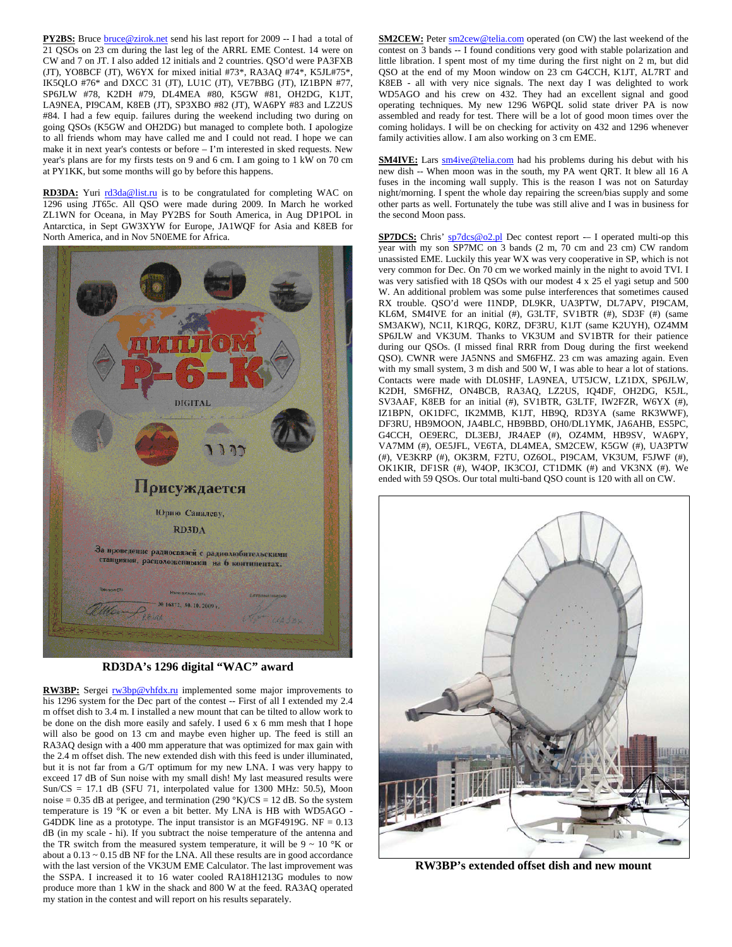**PY2BS:** Bruce **bruce@zirok.net** send his last report for 2009 -- I had a total of 21 QSOs on 23 cm during the last leg of the ARRL EME Contest. 14 were on CW and 7 on JT. I also added 12 initials and 2 countries. QSO'd were PA3FXB (JT), YO8BCF (JT), W6YX for mixed initial #73\*, RA3AQ #74\*, K5JL#75\*, IK5QLO #76\* and DXCC 31 (JT), LU1C (JT), VE7BBG (JT), IZ1BPN #77, SP6JLW #78, K2DH #79, DL4MEA #80, K5GW #81, OH2DG, K1JT, LA9NEA, PI9CAM, K8EB (JT), SP3XBO #82 (JT), WA6PY #83 and LZ2US #84. I had a few equip. failures during the weekend including two during on going QSOs (K5GW and OH2DG) but managed to complete both. I apologize to all friends whom may have called me and I could not read. I hope we can make it in next year's contests or before – I'm interested in sked requests. New year's plans are for my firsts tests on 9 and 6 cm. I am going to 1 kW on 70 cm at PY1KK, but some months will go by before this happens.

**RD3DA:** Yuri rd3da@list.ru is to be congratulated for completing WAC on 1296 using JT65c. All QSO were made during 2009. In March he worked ZL1WN for Oceana, in May PY2BS for South America, in Aug DP1POL in Antarctica, in Sept GW3XYW for Europe, JA1WQF for Asia and K8EB for North America, and in Nov 5N0EME for Africa.



**RD3DA's 1296 digital "WAC" award** 

**RW3BP:** Sergei **rw3bp@vhfdx.ru** implemented some major improvements to his 1296 system for the Dec part of the contest -- First of all I extended my 2.4 m offset dish to 3.4 m. I installed a new mount that can be tilted to allow work to be done on the dish more easily and safely. I used 6 x 6 mm mesh that I hope will also be good on 13 cm and maybe even higher up. The feed is still an RA3AQ design with a 400 mm apperature that was optimized for max gain with the 2.4 m offset dish. The new extended dish with this feed is under illuminated, but it is not far from a G/T optimum for my new LNA. I was very happy to exceed 17 dB of Sun noise with my small dish! My last measured results were Sun/CS = 17.1 dB (SFU 71, interpolated value for 1300 MHz: 50.5), Moon noise = 0.35 dB at perigee, and termination  $(290 °K)/CS = 12$  dB. So the system temperature is 19 °K or even a bit better. My LNA is HB with WD5AGO - G4DDK line as a prototype. The input transistor is an MGF4919G. NF = 0.13 dB (in my scale - hi). If you subtract the noise temperature of the antenna and the TR switch from the measured system temperature, it will be  $9 \sim 10$  °K or about a  $0.13 \sim 0.15$  dB NF for the LNA. All these results are in good accordance with the last version of the VK3UM EME Calculator. The last improvement was the SSPA. I increased it to 16 water cooled RA18H1213G modules to now produce more than 1 kW in the shack and 800 W at the feed. RA3AQ operated my station in the contest and will report on his results separately.

**SM2CEW:** Peter **sm2cew@telia.com** operated (on CW) the last weekend of the contest on 3 bands -- I found conditions very good with stable polarization and little libration. I spent most of my time during the first night on 2 m, but did QSO at the end of my Moon window on 23 cm G4CCH, K1JT, AL7RT and K8EB - all with very nice signals. The next day I was delighted to work WD5AGO and his crew on 432. They had an excellent signal and good operating techniques. My new 1296 W6PQL solid state driver PA is now assembled and ready for test. There will be a lot of good moon times over the coming holidays. I will be on checking for activity on 432 and 1296 whenever family activities allow. I am also working on 3 cm EME.

**SM4IVE:** Lars **sm4ive@telia.com** had his problems during his debut with his new dish -- When moon was in the south, my PA went QRT. It blew all 16 A fuses in the incoming wall supply. This is the reason I was not on Saturday night/morning. I spent the whole day repairing the screen/bias supply and some other parts as well. Fortunately the tube was still alive and I was in business for the second Moon pass.

**SP7DCS:** Chris' sp7dcs@o2.pl Dec contest report -- I operated multi-op this year with my son SP7MC on 3 bands (2 m, 70 cm and 23 cm) CW random unassisted EME. Luckily this year WX was very cooperative in SP, which is not very common for Dec. On 70 cm we worked mainly in the night to avoid TVI. I was very satisfied with 18 QSOs with our modest 4 x 25 el yagi setup and 500 W. An additional problem was some pulse interferences that sometimes caused RX trouble. QSO'd were I1NDP, DL9KR, UA3PTW, DL7APV, PI9CAM, KL6M, SM4IVE for an initial (#), G3LTF, SV1BTR (#), SD3F (#) (same SM3AKW), NC1I, K1RQG, K0RZ, DF3RU, K1JT (same K2UYH), OZ4MM SP6JLW and VK3UM. Thanks to VK3UM and SV1BTR for their patience during our QSOs. (I missed final RRR from Doug during the first weekend QSO). CWNR were JA5NNS and SM6FHZ. 23 cm was amazing again. Even with my small system, 3 m dish and 500 W, I was able to hear a lot of stations. Contacts were made with DL0SHF, LA9NEA, UT5JCW, LZ1DX, SP6JLW, K2DH, SM6FHZ, ON4BCB, RA3AQ, LZ2US, IQ4DF, OH2DG, K5JL, SV3AAF, K8EB for an initial (#), SV1BTR, G3LTF, IW2FZR, W6YX (#), IZ1BPN, OK1DFC, IK2MMB, K1JT, HB9Q, RD3YA (same RK3WWF), DF3RU, HB9MOON, JA4BLC, HB9BBD, OH0/DL1YMK, JA6AHB, ES5PC, G4CCH, OE9ERC, DL3EBJ, JR4AEP (#), OZ4MM, HB9SV, WA6PY, VA7MM (#), OE5JFL, VE6TA, DL4MEA, SM2CEW, K5GW (#), UA3PTW (#), VE3KRP (#), OK3RM, F2TU, OZ6OL, PI9CAM, VK3UM, F5JWF (#), OK1KIR, DF1SR (#), W4OP, IK3COJ, CT1DMK (#) and VK3NX (#). We ended with 59 QSOs. Our total multi-band QSO count is 120 with all on CW.



**RW3BP's extended offset dish and new mount**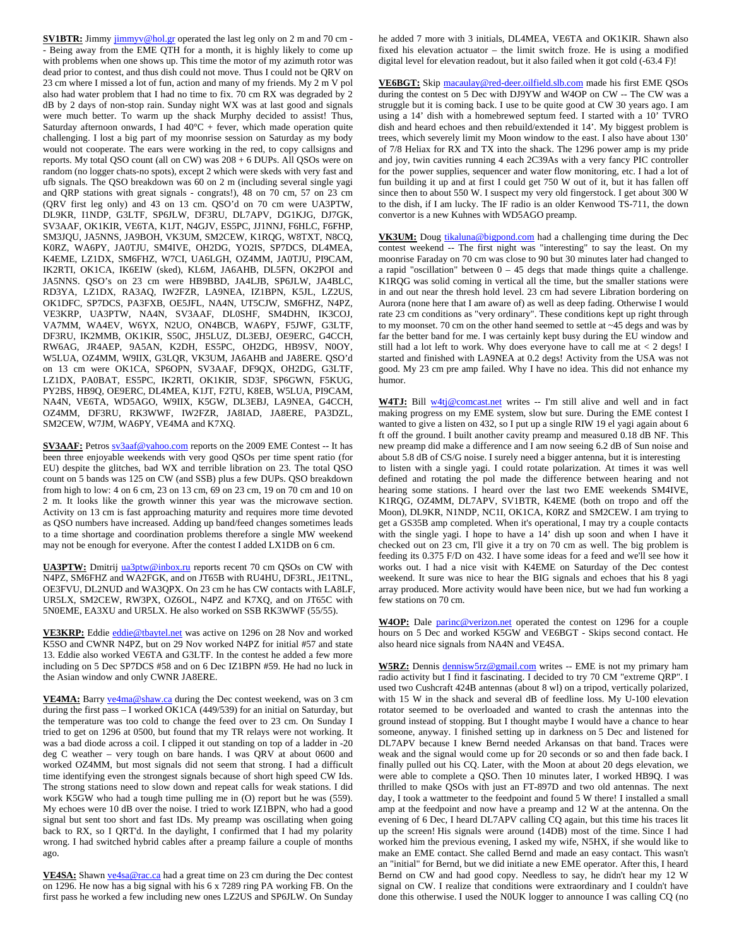**SV1BTR:** Jimmy jimmyv@hol.gr operated the last leg only on 2 m and 70 cm -- Being away from the EME QTH for a month, it is highly likely to come up with problems when one shows up. This time the motor of my azimuth rotor was dead prior to contest, and thus dish could not move. Thus I could not be QRV on 23 cm where I missed a lot of fun, action and many of my friends. My 2 m V pol also had water problem that I had no time to fix. 70 cm RX was degraded by 2 dB by 2 days of non-stop rain. Sunday night WX was at last good and signals were much better. To warm up the shack Murphy decided to assist! Thus, Saturday afternoon onwards, I had  $40^{\circ}C$  + fever, which made operation quite challenging. I lost a big part of my moonrise session on Saturday as my body would not cooperate. The ears were working in the red, to copy callsigns and reports. My total QSO count (all on CW) was 208 + 6 DUPs. All QSOs were on random (no logger chats-no spots), except 2 which were skeds with very fast and ufb signals. The QSO breakdown was 60 on 2 m (including several single yagi and QRP stations with great signals - congrats!), 48 on 70 cm, 57 on 23 cm (QRV first leg only) and 43 on 13 cm. QSO'd on 70 cm were UA3PTW, DL9KR, I1NDP, G3LTF, SP6JLW, DF3RU, DL7APV, DG1KJG, DJ7GK, SV3AAF, OK1KIR, VE6TA, K1JT, N4GJV, ES5PC, JJ1NNJ, F6HLC, F6FHP, SM3JQU, JA5NNS, JA9BOH, VK3UM, SM2CEW, K1RQG, W8TXT, N8CQ, K0RZ, WA6PY, JA0TJU, SM4IVE, OH2DG, YO2IS, SP7DCS, DL4MEA, K4EME, LZ1DX, SM6FHZ, W7CI, UA6LGH, OZ4MM, JA0TJU, PI9CAM, IK2RTI, OK1CA, IK6EIW (sked), KL6M, JA6AHB, DL5FN, OK2POI and JA5NNS. QSO's on 23 cm were HB9BBD, JA4LJB, SP6JLW, JA4BLC, RD3YA, LZ1DX, RA3AQ, IW2FZR, LA9NEA, IZ1BPN, K5JL, LZ2US, OK1DFC, SP7DCS, PA3FXB, OE5JFL, NA4N, UT5CJW, SM6FHZ, N4PZ, VE3KRP, UA3PTW, NA4N, SV3AAF, DL0SHF, SM4DHN, IK3COJ, VA7MM, WA4EV, W6YX, N2UO, ON4BCB, WA6PY, F5JWF, G3LTF, DF3RU, IK2MMB, OK1KIR, S50C, JH5LUZ, DL3EBJ, OE9ERC, G4CCH, RW6AG, JR4AEP, 9A5AN, K2DH, ES5PC, OH2DG, HB9SV, N0OY, W5LUA, OZ4MM, W9IIX, G3LQR, VK3UM, JA6AHB and JA8ERE. QSO'd on 13 cm were OK1CA, SP6OPN, SV3AAF, DF9QX, OH2DG, G3LTF, LZ1DX, PA0BAT, ES5PC, IK2RTI, OK1KIR, SD3F, SP6GWN, F5KUG, PY2BS, HB9Q, OE9ERC, DL4MEA, K1JT, F2TU, K8EB, W5LUA, PI9CAM, NA4N, VE6TA, WD5AGO, W9IIX, K5GW, DL3EBJ, LA9NEA, G4CCH, OZ4MM, DF3RU, RK3WWF, IW2FZR, JA8IAD, JA8ERE, PA3DZL, SM2CEW, W7JM, WA6PY, VE4MA and K7XQ.

**SV3AAF:** Petros sv3aaf@yahoo.com reports on the 2009 EME Contest -- It has been three enjoyable weekends with very good QSOs per time spent ratio (for EU) despite the glitches, bad WX and terrible libration on 23. The total QSO count on 5 bands was 125 on CW (and SSB) plus a few DUPs. QSO breakdown from high to low: 4 on 6 cm, 23 on 13 cm, 69 on 23 cm, 19 on 70 cm and 10 on 2 m. It looks like the growth winner this year was the microwave section. Activity on 13 cm is fast approaching maturity and requires more time devoted as QSO numbers have increased. Adding up band/feed changes sometimes leads to a time shortage and coordination problems therefore a single MW weekend may not be enough for everyone. After the contest I added LX1DB on 6 cm.

**UA3PTW:** Dmitrij ua3ptw@inbox.ru reports recent 70 cm QSOs on CW with N4PZ, SM6FHZ and WA2FGK, and on JT65B with RU4HU, DF3RL, JE1TNL, OE3FVU, DL2NUD and WA3QPX. On 23 cm he has CW contacts with LA8LF, UR5LX, SM2CEW, RW3PX, OZ6OL, N4PZ and K7XQ, and on JT65C with 5N0EME, EA3XU and UR5LX. He also worked on SSB RK3WWF (55/55).

VE3KRP: Eddie eddie@tbaytel.net was active on 1296 on 28 Nov and worked K5SO and CWNR N4PZ, but on 29 Nov worked N4PZ for initial #57 and state 13. Eddie also worked VE6TA and G3LTF. In the contest he added a few more including on 5 Dec SP7DCS #58 and on 6 Dec IZ1BPN #59. He had no luck in the Asian window and only CWNR JA8ERE.

VE4MA: Barry ve4ma@shaw.ca during the Dec contest weekend, was on 3 cm during the first pass – I worked OK1CA (449/539) for an initial on Saturday, but the temperature was too cold to change the feed over to 23 cm. On Sunday I tried to get on 1296 at 0500, but found that my TR relays were not working. It was a bad diode across a coil. I clipped it out standing on top of a ladder in -20 deg C weather – very tough on bare hands. I was QRV at about 0600 and worked OZ4MM, but most signals did not seem that strong. I had a difficult time identifying even the strongest signals because of short high speed CW Ids. The strong stations need to slow down and repeat calls for weak stations. I did work K5GW who had a tough time pulling me in (O) report but he was (559). My echoes were 10 dB over the noise. I tried to work IZ1BPN, who had a good signal but sent too short and fast IDs. My preamp was oscillating when going back to RX, so I QRT'd. In the daylight, I confirmed that I had my polarity wrong. I had switched hybrid cables after a preamp failure a couple of months ago.

**VE4SA:** Shawn ve4sa@rac.ca had a great time on 23 cm during the Dec contest on 1296. He now has a big signal with his 6 x 7289 ring PA working FB. On the first pass he worked a few including new ones LZ2US and SP6JLW. On Sunday

he added 7 more with 3 initials, DL4MEA, VE6TA and OK1KIR. Shawn also fixed his elevation actuator – the limit switch froze. He is using a modified digital level for elevation readout, but it also failed when it got cold (-63.4 F)!

**VE6BGT:** Skip macaulay@red-deer.oilfield.slb.com made his first EME QSOs during the contest on 5 Dec with DJ9YW and W4OP on CW -- The CW was a struggle but it is coming back. I use to be quite good at CW 30 years ago. I am using a 14' dish with a homebrewed septum feed. I started with a 10' TVRO dish and heard echoes and then rebuild/extended it 14'. My biggest problem is trees, which severely limit my Moon window to the east. I also have about 130' of 7/8 Heliax for RX and TX into the shack. The 1296 power amp is my pride and joy, twin cavities running 4 each 2C39As with a very fancy PIC controller for the power supplies, sequencer and water flow monitoring, etc. I had a lot of fun building it up and at first I could get 750 W out of it, but it has fallen off since then to about 550 W. I suspect my very old fingerstock. I get about 300 W to the dish, if I am lucky. The IF radio is an older Kenwood TS-711, the down convertor is a new Kuhnes with WD5AGO preamp.

**VK3UM:** Doug *tikaluna@bigpond.com* had a challenging time during the Dec contest weekend -- The first night was "interesting" to say the least. On my moonrise Faraday on 70 cm was close to 90 but 30 minutes later had changed to a rapid "oscillation" between  $0 - 45$  degs that made things quite a challenge. K1RQG was solid coming in vertical all the time, but the smaller stations were in and out near the thresh hold level. 23 cm had severe Libration bordering on Aurora (none here that I am aware of) as well as deep fading. Otherwise I would rate 23 cm conditions as "very ordinary". These conditions kept up right through to my moonset. 70 cm on the other hand seemed to settle at ~45 degs and was by far the better band for me. I was certainly kept busy during the EU window and still had a lot left to work. Why does everyone have to call me at  $< 2$  degs! I started and finished with LA9NEA at 0.2 degs! Activity from the USA was not good. My 23 cm pre amp failed. Why I have no idea. This did not enhance my humor.

W4TJ: Bill w4tj@comcast.net writes -- I'm still alive and well and in fact making progress on my EME system, slow but sure. During the EME contest I wanted to give a listen on 432, so I put up a single RIW 19 el yagi again about 6 ft off the ground. I built another cavity preamp and measured 0.18 dB NF. This new preamp did make a difference and I am now seeing 6.2 dB of Sun noise and about 5.8 dB of CS/G noise. I surely need a bigger antenna, but it is interesting to listen with a single yagi. I could rotate polarization. At times it was well defined and rotating the pol made the difference between hearing and not hearing some stations. I heard over the last two EME weekends SM4IVE, K1RQG, OZ4MM, DL7APV, SV1BTR, K4EME (both on tropo and off the Moon), DL9KR, N1NDP, NC1I, OK1CA, K0RZ and SM2CEW. I am trying to get a GS35B amp completed. When it's operational, I may try a couple contacts with the single yagi. I hope to have a 14' dish up soon and when I have it checked out on 23 cm, I'll give it a try on 70 cm as well. The big problem is feeding its 0.375 F/D on 432. I have some ideas for a feed and we'll see how it works out. I had a nice visit with K4EME on Saturday of the Dec contest weekend. It sure was nice to hear the BIG signals and echoes that his 8 yagi array produced. More activity would have been nice, but we had fun working a few stations on 70 cm.

**W4OP:** Dale parinc@verizon.net operated the contest on 1296 for a couple hours on 5 Dec and worked K5GW and VE6BGT - Skips second contact. He also heard nice signals from NA4N and VE4SA.

**W5RZ:** Dennis dennisw5rz@gmail.com writes -- EME is not my primary ham radio activity but I find it fascinating. I decided to try 70 CM "extreme QRP". I used two Cushcraft 424B antennas (about 8 wl) on a tripod, vertically polarized, with 15 W in the shack and several dB of feedline loss. My U-100 elevation rotator seemed to be overloaded and wanted to crash the antennas into the ground instead of stopping. But I thought maybe I would have a chance to hear someone, anyway. I finished setting up in darkness on 5 Dec and listened for DL7APV because I knew Bernd needed Arkansas on that band. Traces were weak and the signal would come up for 20 seconds or so and then fade back. I finally pulled out his CQ. Later, with the Moon at about 20 degs elevation, we were able to complete a QSO. Then 10 minutes later, I worked HB9Q. I was thrilled to make QSOs with just an FT-897D and two old antennas. The next day, I took a wattmeter to the feedpoint and found 5 W there! I installed a small amp at the feedpoint and now have a preamp and 12 W at the antenna. On the evening of 6 Dec, I heard DL7APV calling CQ again, but this time his traces lit up the screen! His signals were around (14DB) most of the time. Since I had worked him the previous evening, I asked my wife, N5HX, if she would like to make an EME contact. She called Bernd and made an easy contact. This wasn't an "initial" for Bernd, but we did initiate a new EME operator. After this, I heard Bernd on CW and had good copy. Needless to say, he didn't hear my 12 W signal on CW. I realize that conditions were extraordinary and I couldn't have done this otherwise. I used the N0UK logger to announce I was calling CQ (no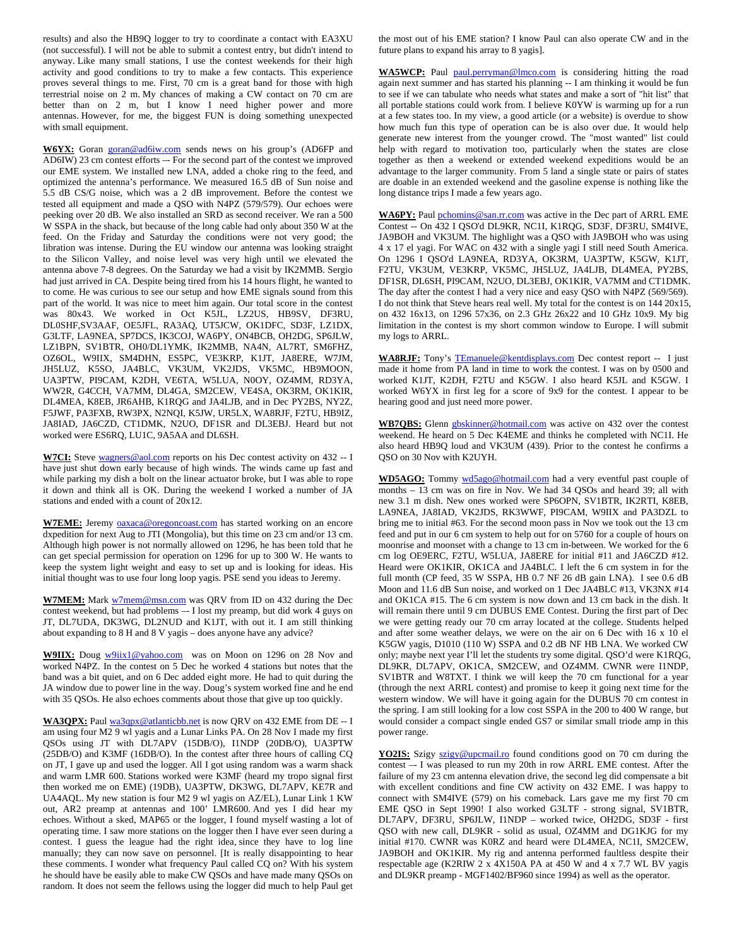results) and also the HB9Q logger to try to coordinate a contact with EA3XU (not successful). I will not be able to submit a contest entry, but didn't intend to anyway. Like many small stations, I use the contest weekends for their high activity and good conditions to try to make a few contacts. This experience proves several things to me. First, 70 cm is a great band for those with high terrestrial noise on 2 m. My chances of making a CW contact on 70 cm are better than on 2 m, but I know I need higher power and more antennas. However, for me, the biggest FUN is doing something unexpected with small equipment.

W6YX: Goran goran@ad6iw.com sends news on his group's (AD6FP and AD6IW) 23 cm contest efforts –- For the second part of the contest we improved our EME system. We installed new LNA, added a choke ring to the feed, and optimized the antenna's performance. We measured 16.5 dB of Sun noise and 5.5 dB CS/G noise, which was a 2 dB improvement. Before the contest we tested all equipment and made a QSO with N4PZ (579/579). Our echoes were peeking over 20 dB. We also installed an SRD as second receiver. We ran a 500 W SSPA in the shack, but because of the long cable had only about 350 W at the feed. On the Friday and Saturday the conditions were not very good; the libration was intense. During the EU window our antenna was looking straight to the Silicon Valley, and noise level was very high until we elevated the antenna above 7-8 degrees. On the Saturday we had a visit by IK2MMB. Sergio had just arrived in CA. Despite being tired from his 14 hours flight, he wanted to to come. He was curious to see our setup and how EME signals sound from this part of the world. It was nice to meet him again. Our total score in the contest was 80x43. We worked in Oct K5JL, LZ2US, HB9SV, DF3RU, DL0SHF,SV3AAF, OE5JFL, RA3AQ, UT5JCW, OK1DFC, SD3F, LZ1DX, G3LTF, LA9NEA, SP7DCS, IK3COJ, WA6PY, ON4BCB, OH2DG, SP6JLW, LZ1BPN, SV1BTR, OH0/DL1YMK, IK2MMB, NA4N, AL7RT, SM6FHZ, OZ6OL, W9IIX, SM4DHN, ES5PC, VE3KRP, K1JT, JA8ERE, W7JM, JH5LUZ, K5SO, JA4BLC, VK3UM, VK2JDS, VK5MC, HB9MOON, UA3PTW, PI9CAM, K2DH, VE6TA, W5LUA, N0OY, OZ4MM, RD3YA, WW2R, G4CCH, VA7MM, DL4GA, SM2CEW, VE4SA, OK3RM, OK1KIR, DL4MEA, K8EB, JR6AHB, K1RQG and JA4LJB, and in Dec PY2BS, NY2Z, F5JWF, PA3FXB, RW3PX, N2NQI, K5JW, UR5LX, WA8RJF, F2TU, HB9IZ, JA8IAD, JA6CZD, CT1DMK, N2UO, DF1SR and DL3EBJ. Heard but not worked were ES6RQ, LU1C, 9A5AA and DL6SH.

W7CI: Steve wagners@aol.com reports on his Dec contest activity on 432 -- I have just shut down early because of high winds. The winds came up fast and while parking my dish a bolt on the linear actuator broke, but I was able to rope it down and think all is OK. During the weekend I worked a number of JA stations and ended with a count of 20x12.

W7EME: Jeremy oaxaca@oregoncoast.com has started working on an encore dxpedition for next Aug to JTI (Mongolia), but this time on 23 cm and/or 13 cm. Although high power is not normally allowed on 1296, he has been told that he can get special permission for operation on 1296 for up to 300 W. He wants to keep the system light weight and easy to set up and is looking for ideas. His initial thought was to use four long loop yagis. PSE send you ideas to Jeremy.

**W7MEM:** Mark w7mem@msn.com was QRV from ID on 432 during the Dec contest weekend, but had problems –- I lost my preamp, but did work 4 guys on JT, DL7UDA, DK3WG, DL2NUD and K1JT, with out it. I am still thinking about expanding to 8 H and 8 V yagis – does anyone have any advice?

**W9IIX:** Doug w9iix1@yahoo.com was on Moon on 1296 on 28 Nov and worked N4PZ. In the contest on 5 Dec he worked 4 stations but notes that the band was a bit quiet, and on 6 Dec added eight more. He had to quit during the JA window due to power line in the way. Doug's system worked fine and he end with 35 QSOs. He also echoes comments about those that give up too quickly.

WA3QPX: Paul wa3qpx@atlanticbb.net is now QRV on 432 EME from DE -- I am using four M2 9 wl yagis and a Lunar Links PA. On 28 Nov I made my first QSOs using JT with DL7APV (15DB/O), I1NDP (20DB/O), UA3PTW (25DB/O) and K3MF (16DB/O). In the contest after three hours of calling CQ on JT, I gave up and used the logger. All I got using random was a warm shack and warm LMR 600. Stations worked were K3MF (heard my tropo signal first then worked me on EME) (19DB), UA3PTW, DK3WG, DL7APV, KE7R and UA4AQL. My new station is four M2 9 wl yagis on AZ/EL), Lunar Link 1 KW out, AR2 preamp at antennas and 100' LMR600. And yes I did hear my echoes. Without a sked, MAP65 or the logger, I found myself wasting a lot of operating time. I saw more stations on the logger then I have ever seen during a contest. I guess the league had the right idea, since they have to log line manually; they can now save on personnel. [It is really disappointing to hear these comments. I wonder what frequency Paul called CQ on? With his system he should have be easily able to make CW QSOs and have made many QSOs on random. It does not seem the fellows using the logger did much to help Paul get the most out of his EME station? I know Paul can also operate CW and in the future plans to expand his array to 8 yagis].

WA5WCP: Paul paul.perryman@lmco.com is considering hitting the road again next summer and has started his planning -- I am thinking it would be fun to see if we can tabulate who needs what states and make a sort of "hit list" that all portable stations could work from. I believe K0YW is warming up for a run at a few states too. In my view, a good article (or a website) is overdue to show how much fun this type of operation can be is also over due. It would help generate new interest from the younger crowd. The "most wanted" list could help with regard to motivation too, particularly when the states are close together as then a weekend or extended weekend expeditions would be an advantage to the larger community. From 5 land a single state or pairs of states are doable in an extended weekend and the gasoline expense is nothing like the long distance trips I made a few years ago.

WA6PY: Paul pchomins@san.rr.com was active in the Dec part of ARRL EME Contest -- On 432 I QSO'd DL9KR, NC1I, K1RQG, SD3F, DF3RU, SM4IVE, JA9BOH and VK3UM. The highlight was a QSO with JA9BOH who was using 4 x 17 el yagi. For WAC on 432 with a single yagi I still need South America. On 1296 I QSO'd LA9NEA, RD3YA, OK3RM, UA3PTW, K5GW, K1JT, F2TU, VK3UM, VE3KRP, VK5MC, JH5LUZ, JA4LJB, DL4MEA, PY2BS, DF1SR, DL6SH, PI9CAM, N2UO, DL3EBJ, OK1KIR, VA7MM and CT1DMK. The day after the contest I had a very nice and easy QSO with N4PZ (569/569). I do not think that Steve hears real well. My total for the contest is on 144 20x15, on 432 16x13, on 1296 57x36, on 2.3 GHz 26x22 and 10 GHz 10x9. My big limitation in the contest is my short common window to Europe. I will submit my logs to ARRL.

WA8RJF: Tony's TEmanuele@kentdisplays.com Dec contest report -- I just made it home from PA land in time to work the contest. I was on by 0500 and worked K1JT, K2DH, F2TU and K5GW. I also heard K5JL and K5GW. I worked W6YX in first leg for a score of 9x9 for the contest. I appear to be hearing good and just need more power.

**WB7QBS:** Glenn gbskinner@hotmail.com was active on 432 over the contest weekend. He heard on 5 Dec K4EME and thinks he completed with NC1I. He also heard HB9Q loud and VK3UM (439). Prior to the contest he confirms a QSO on 30 Nov with K2UYH.

**WD5AGO:** Tommy wd5ago@hotmail.com had a very eventful past couple of months – 13 cm was on fire in Nov. We had 34 QSOs and heard 39; all with new 3.1 m dish. New ones worked were SP6OPN, SV1BTR, IK2RTI, K8EB, LA9NEA, JA8IAD, VK2JDS, RK3WWF, PI9CAM, W9IIX and PA3DZL to bring me to initial #63. For the second moon pass in Nov we took out the 13 cm feed and put in our 6 cm system to help out for on 5760 for a couple of hours on moonrise and moonset with a change to 13 cm in-between. We worked for the 6 cm log OE9ERC, F2TU, W5LUA, JA8ERE for initial #11 and JA6CZD #12. Heard were OK1KIR, OK1CA and JA4BLC. I left the 6 cm system in for the full month (CP feed, 35 W SSPA, HB 0.7 NF 26 dB gain LNA). I see 0.6 dB Moon and 11.6 dB Sun noise, and worked on 1 Dec JA4BLC #13, VK3NX #14 and OK1CA #15. The 6 cm system is now down and 13 cm back in the dish. It will remain there until 9 cm DUBUS EME Contest. During the first part of Dec we were getting ready our 70 cm array located at the college. Students helped and after some weather delays, we were on the air on 6 Dec with 16 x 10 el K5GW yagis, D1010 (110 W) SSPA and 0.2 dB NF HB LNA. We worked CW only; maybe next year I'll let the students try some digital. QSO'd were K1RQG, DL9KR, DL7APV, OK1CA, SM2CEW, and OZ4MM. CWNR were I1NDP, SV1BTR and W8TXT. I think we will keep the 70 cm functional for a year (through the next ARRL contest) and promise to keep it going next time for the western window. We will have it going again for the DUBUS 70 cm contest in the spring. I am still looking for a low cost SSPA in the 200 to 400 W range, but would consider a compact single ended GS7 or similar small triode amp in this power range.

**<u>YO2IS:</u>** Szigy szigy@upcmail.ro found conditions good on 70 cm during the contest –- I was pleased to run my 20th in row ARRL EME contest. After the failure of my 23 cm antenna elevation drive, the second leg did compensate a bit with excellent conditions and fine CW activity on 432 EME. I was happy to connect with SM4IVE (579) on his comeback. Lars gave me my first 70 cm EME QSO in Sept 1990! I also worked G3LTF - strong signal, SV1BTR, DL7APV, DF3RU, SP6JLW, I1NDP – worked twice, OH2DG, SD3F - first QSO with new call, DL9KR - solid as usual, OZ4MM and DG1KJG for my initial #170. CWNR was K0RZ and heard were DL4MEA, NC1I, SM2CEW, JA9BOH and OK1KIR. My rig and antenna performed faultless despite their respectable age (K2RIW 2 x 4X150A PA at 450 W and 4 x 7.7 WL BV yagis and DL9KR preamp - MGF1402/BF960 since 1994) as well as the operator.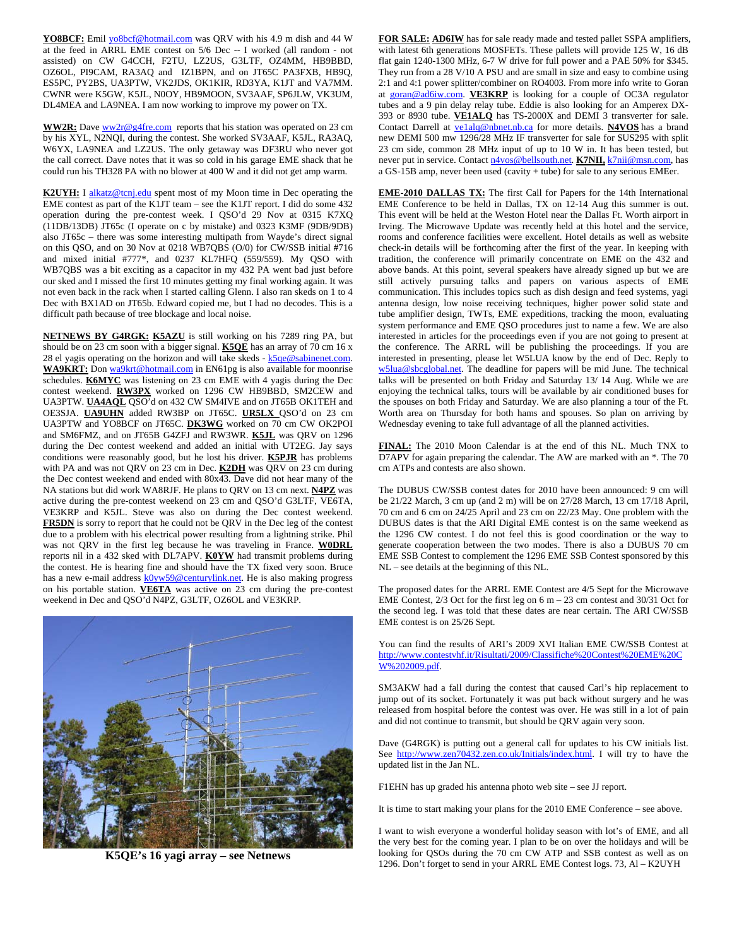YO8BCF: Emil yo8bcf@hotmail.com was QRV with his 4.9 m dish and 44 W at the feed in ARRL EME contest on 5/6 Dec -- I worked (all random - not assisted) on CW G4CCH, F2TU, LZ2US, G3LTF, OZ4MM, HB9BBD, OZ6OL, PI9CAM, RA3AQ and IZ1BPN, and on JT65C PA3FXB, HB9Q, ES5PC, PY2BS, UA3PTW, VK2JDS, OK1KIR, RD3YA, K1JT and VA7MM. CWNR were K5GW, K5JL, N0OY, HB9MOON, SV3AAF, SP6JLW, VK3UM, DL4MEA and LA9NEA. I am now working to improve my power on TX.

WW2R: Dave ww2r@g4fre.com reports that his station was operated on 23 cm by his XYL, N2NQI, during the contest. She worked SV3AAF, K5JL, RA3AQ, W6YX, LA9NEA and LZ2US. The only getaway was DF3RU who never got the call correct. Dave notes that it was so cold in his garage EME shack that he could run his TH328 PA with no blower at 400 W and it did not get amp warm.

**K2UYH:** I alkatz@tcnj.edu spent most of my Moon time in Dec operating the EME contest as part of the K1JT team – see the K1JT report. I did do some 432 operation during the pre-contest week. I QSO'd 29 Nov at 0315 K7XQ (11DB/13DB) JT65c (I operate on c by mistake) and 0323 K3MF (9DB/9DB) also JT65c – there was some interesting multipath from Wayde's direct signal on this QSO, and on 30 Nov at 0218 WB7QBS (O/0) for CW/SSB initial #716 and mixed initial #777\*, and 0237 KL7HFQ (559/559). My QSO with WB7QBS was a bit exciting as a capacitor in my 432 PA went bad just before our sked and I missed the first 10 minutes getting my final working again. It was not even back in the rack when I started calling Glenn. I also ran skeds on 1 to 4 Dec with BX1AD on JT65b. Edward copied me, but I had no decodes. This is a difficult path because of tree blockage and local noise.

**NETNEWS BY G4RGK: K5AZU** is still working on his 7289 ring PA, but should be on 23 cm soon with a bigger signal. **K5QE** has an array of 70 cm 16 x 28 el yagis operating on the horizon and will take skeds -  $k5qe@sabinenet.com$ . WA9KRT: Don wa9krt@hotmail.com in EN61pg is also available for moonrise schedules. **K6MYC** was listening on 23 cm EME with 4 yagis during the Dec contest weekend. **RW3PX** worked on 1296 CW HB9BBD, SM2CEW and UA3PTW. **UA4AQL** QSO'd on 432 CW SM4IVE and on JT65B OK1TEH and OE3SJA. **UA9UHN** added RW3BP on JT65C. **UR5LX** QSO'd on 23 cm UA3PTW and YO8BCF on JT65C. **DK3WG** worked on 70 cm CW OK2POI and SM6FMZ, and on JT65B G4ZFJ and RW3WR. **K5JL** was QRV on 1296 during the Dec contest weekend and added an initial with UT2EG. Jay says conditions were reasonably good, but he lost his driver. **K5PJR** has problems with PA and was not QRV on 23 cm in Dec. **K2DH** was QRV on 23 cm during the Dec contest weekend and ended with 80x43. Dave did not hear many of the NA stations but did work WA8RJF. He plans to QRV on 13 cm next. **N4PZ** was active during the pre-contest weekend on 23 cm and QSO'd G3LTF, VE6TA, VE3KRP and K5JL. Steve was also on during the Dec contest weekend. **FR5DN** is sorry to report that he could not be QRV in the Dec leg of the contest due to a problem with his electrical power resulting from a lightning strike. Phil was not QRV in the first leg because he was traveling in France. **W0DRL** reports nil in a 432 sked with DL7APV. **K0YW** had transmit problems during the contest. He is hearing fine and should have the TX fixed very soon. Bruce has a new e-mail address k0yw59@centurylink.net. He is also making progress on his portable station. **VE6TA** was active on 23 cm during the pre-contest weekend in Dec and QSO'd N4PZ, G3LTF, OZ6OL and VE3KRP.



**K5QE's 16 yagi array – see Netnews** 

**FOR SALE: AD6IW** has for sale ready made and tested pallet SSPA amplifiers, with latest 6th generations MOSFETs. These pallets will provide 125 W, 16 dB flat gain 1240-1300 MHz, 6-7 W drive for full power and a PAE 50% for \$345. They run from a 28 V/10 A PSU and are small in size and easy to combine using 2:1 and 4:1 power splitter/combiner on RO4003. From more info write to Goran at goran@ad6iw.com. **VE3KRP** is looking for a couple of OC3A regulator tubes and a 9 pin delay relay tube. Eddie is also looking for an Amperex DX-393 or 8930 tube. **VE1ALQ** has TS-2000X and DEMI 3 transverter for sale. Contact Darrell at **velalq@nbnet.nb.ca** for more details. **N4VOS** has a brand new DEMI 500 mw 1296/28 MHz IF transverter for sale for \$US295 with split 23 cm side, common 28 MHz input of up to 10 W in. It has been tested, but never put in service. Contact n4vos@bellsouth.net. **K7NII**, k7nii@msn.com, has a GS-15B amp, never been used (cavity + tube) for sale to any serious EMEer.

**EME-2010 DALLAS TX:** The first Call for Papers for the 14th International EME Conference to be held in Dallas, TX on 12-14 Aug this summer is out. This event will be held at the Weston Hotel near the Dallas Ft. Worth airport in Irving. The Microwave Update was recently held at this hotel and the service, rooms and conference facilities were excellent. Hotel details as well as website check-in details will be forthcoming after the first of the year. In keeping with tradition, the conference will primarily concentrate on EME on the 432 and above bands. At this point, several speakers have already signed up but we are still actively pursuing talks and papers on various aspects of EME communication. This includes topics such as dish design and feed systems, yagi antenna design, low noise receiving techniques, higher power solid state and tube amplifier design, TWTs, EME expeditions, tracking the moon, evaluating system performance and EME QSO procedures just to name a few. We are also interested in articles for the proceedings even if you are not going to present at the conference. The ARRL will be publishing the proceedings. If you are interested in presenting, please let W5LUA know by the end of Dec. Reply to w5lua@sbcglobal.net. The deadline for papers will be mid June. The technical talks will be presented on both Friday and Saturday 13/ 14 Aug. While we are enjoying the technical talks, tours will be available by air conditioned buses for the spouses on both Friday and Saturday. We are also planning a tour of the Ft. Worth area on Thursday for both hams and spouses. So plan on arriving by Wednesday evening to take full advantage of all the planned activities.

**FINAL:** The 2010 Moon Calendar is at the end of this NL. Much TNX to D7APV for again preparing the calendar. The AW are marked with an \*. The 70 cm ATPs and contests are also shown.

The DUBUS CW/SSB contest dates for 2010 have been announced: 9 cm will be 21/22 March, 3 cm up (and 2 m) will be on 27/28 March, 13 cm 17/18 April, 70 cm and 6 cm on 24/25 April and 23 cm on 22/23 May. One problem with the DUBUS dates is that the ARI Digital EME contest is on the same weekend as the 1296 CW contest. I do not feel this is good coordination or the way to generate cooperation between the two modes. There is also a DUBUS 70 cm EME SSB Contest to complement the 1296 EME SSB Contest sponsored by this NL – see details at the beginning of this NL.

The proposed dates for the ARRL EME Contest are 4/5 Sept for the Microwave EME Contest,  $2/3$  Oct for the first leg on 6 m – 23 cm contest and  $30/31$  Oct for the second leg. I was told that these dates are near certain. The ARI CW/SSB EME contest is on 25/26 Sept.

You can find the results of ARI's 2009 XVI Italian EME CW/SSB Contest at http://www.contestvhf.it/Risultati/2009/Classifiche%20Contest%20EME%20C W%202009.pdf.

SM3AKW had a fall during the contest that caused Carl's hip replacement to jump out of its socket. Fortunately it was put back without surgery and he was released from hospital before the contest was over. He was still in a lot of pain and did not continue to transmit, but should be QRV again very soon.

Dave (G4RGK) is putting out a general call for updates to his CW initials list. See http://www.zen70432.zen.co.uk/Initials/index.html. I will try to have the updated list in the Jan NL.

F1EHN has up graded his antenna photo web site – see JJ report.

It is time to start making your plans for the 2010 EME Conference – see above.

I want to wish everyone a wonderful holiday season with lot's of EME, and all the very best for the coming year. I plan to be on over the holidays and will be looking for QSOs during the 70 cm CW ATP and SSB contest as well as on 1296. Don't forget to send in your ARRL EME Contest logs. 73, Al – K2UYH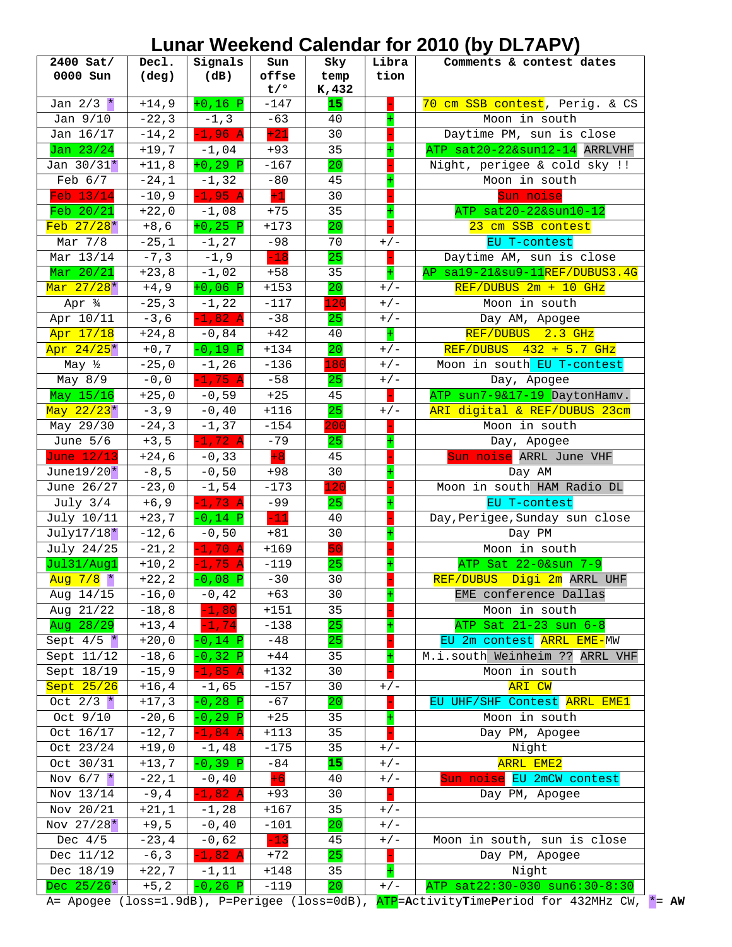## **Lunar Weekend Calendar for 2010 (by DL7APV)**

| t/°<br>K,432<br>$+0,16$ P<br>Jan $2/3$ *<br>$+14,9$<br>$-147$<br>15<br>70 cm SSB contest, Perig. & CS<br>Jan $9/10$<br>$-22, 3$<br>$-63$<br>Moon in south<br>$-1, 3$<br>40<br>$+21$<br>$-1,96$ A<br>Jan 16/17<br>$-14, 2$<br>30<br>Daytime PM, sun is close<br>Jan 23/24<br>$+19,7$<br>ATP sat20-22&sun12-14 ARRLVHF<br>$-1,04$<br>35<br>$+93$<br>Jan $30/31*$<br>$+11,8$<br>$+0, 29$ P<br>20<br>$-167$<br>Night, perigee & cold sky !!<br>Moon in south<br>Feb $6/7$<br>$-24,1$<br>$-1, 32$<br>$-80$<br>45<br>$+1$<br>Feb 13/14<br>$-1,95 A$<br>$-10, 9$<br>30<br>Sun noise<br>ATP sat20-22&sun10-12<br>$\overline{\text{Feb}}$ 20/21<br>$+22,0$<br>$-1,08$<br>35<br>$+75$<br>$Feb$ 27/28 $*$<br>$+173$<br>20<br>$+8,6$<br>$+0, 25$ P<br>23 cm SSB contest<br>$-25,1$<br>$-98$<br>EU T-contest<br>Mar 7/8<br>$-1, 27$<br>70<br>$+/-$<br>Mar 13/14<br>$-7, 3$<br>$-18$<br>$-1, 9$<br>25<br>Daytime AM, sun is close<br>Mar 20/21<br>$+23,8$<br>$+$<br>AP sa19-21&su9-11REF/DUBUS3.4G<br>$-1,02$<br>$+58$<br>35<br>Mar 27/28 <sup>*</sup><br>$+4, 9$<br>$+153$<br>$REF/DUBUS 2m + 10 GHz$<br>$+0,06$ P<br>20<br>$+/-$<br>Apr 34<br>$-25, 3$<br>$-117$<br>120<br>Moon in south<br>$-1, 22$<br>$+/-$<br>Apr 10/11<br>$-3, 6$<br>$-1,82$ A<br>$-38$<br>25<br>$+/-$<br>Day AM, Apogee<br>$+$<br>Apr 17/18<br>$+42$<br>REF/DUBUS 2.3 GHz<br>$+24,8$<br>$-0,84$<br>40<br>Apr 24/25*<br>$-0,19$ P<br>$+134$<br>20<br>$REF/DUBUS$ 432 + 5.7 GHz<br>$+0,7$<br>$+/-$<br>May ½<br>$-25,0$<br>$-136$<br>180<br>Moon in south EU T-contest<br>$-1, 26$<br>$+/-$<br>$-0,0$<br>$-1,75$ A<br>$-58$<br>May $8/9$<br>25<br>Day, Apogee<br>$+/-$<br>May 15/16<br>$+25,0$<br>$+25$<br>ATP sun7-9&17-19 DaytonHamv.<br>$-0,59$<br>45<br>May 22/23*<br>$-3, 9$<br>$-0, 40$<br>$+116$<br>25<br>ARI digital & REF/DUBUS 23cm<br>$+/-$<br>$-24, 3$<br>$-1, 37$<br>$-154$<br>Moon in south<br>May 29/30<br>200<br>$-79$<br>June $5/6$<br>$+3,5$<br>$-1, 72$ A<br>25<br>Day, Apogee<br>$+8$<br>June 12/13<br>$+24,6$<br>$-0, 33$<br>Sun noise ARRL June VHF<br>45<br>June19/20 $*$<br>$-8,5$<br>$-0,50$<br>30<br>$+98$<br>Day AM<br>120<br>Moon in south HAM Radio DL<br>June $26/27$<br>$-23,0$<br>$-1,54$<br>$-173$<br>July $3/4$<br>$-1,73$ A<br>$-99$<br>$+6, 9$<br>25<br>EU T-contest<br>$-11$<br>Day, Perigee, Sunday sun close<br>July 10/11<br>$+23,7$<br>$-0,14$ P<br>40<br>$-12,6$<br>$July17/18*$<br>$-0,50$<br>$+81$<br>30<br>Day PM<br>50<br>$-1,70$ A<br>$+169$<br>Moon in south<br>July 24/25<br>$-21, 2$<br>Jul31/Aug1<br>$+10, 2$<br>$-119$<br>25<br>ATP Sat 22-0&sun 7-9<br>$-1,75$ A<br>$-30$<br>REF/DUBUS Digi 2m ARRL UHF<br>Aug $7/8$ *<br>$+22, 2$<br>$-0,08$ P<br>30<br>Aug 14/15<br>$-16,0$<br>$-0, 42$<br>30<br>EME conference Dallas<br>$+63$<br>+<br>Aug 21/22<br>$-18, 8$<br>35<br>Moon in south<br>$-1, 80$<br>$+151$<br>Aug 28/29<br>25<br>ATP Sat 21-23 sun 6-8<br>$-1, 74$<br>$-138$<br>$+13,4$<br>EU 2m contest ARRL EME-MW<br>$-48$<br>25<br>Sept $4/5$ *<br>$+20,0$<br>$-0,14$ P<br>M.i.south Weinheim ?? ARRL VHF<br>Sept 11/12<br>$-18,6$<br>$+44$<br>$-0,32$ P<br>35<br>Sept 18/19<br>$-15, 9$<br>$-1,85$ A<br>$+132$<br>Moon in south<br>30<br>Sept 25/26<br>ARI CW<br>$+16, 4$<br>$-157$<br>30<br>$-1,65$<br>$+/-$<br>Oct $2/3$ *<br>$+17, 3$<br>$-0, 28$ P<br>$-67$<br>EU UHF/SHF Contest ARRL EME1<br>20<br>Oct 9/10<br>$-20,6$<br>Moon in south<br>$-0, 29$ P<br>$+25$<br>35<br>Oct 16/17<br>$-12,7$<br>Day PM, Apogee<br>$-1,84$ A<br>$+113$<br>35<br>Night<br>Oct 23/24<br>$+19,0$<br>$-175$<br>35<br>$-1,48$<br>$+/-$<br>15<br>Oct 30/31<br>$-0,39$ P<br>$-84$<br><b>ARRL EME2</b><br>$+13,7$<br>$+/-$<br>$+6$<br>Nov $6/7$ *<br>Sun noise EU 2mCW contest<br>$-22,1$<br>$-0$ , $40$<br>40<br>$+/-$<br>Nov 13/14<br>$-1,82$ A<br>30<br>$-9, 4$<br>$+93$<br>Day PM, Apogee<br>Nov 20/21<br>$+21,1$<br>$-1, 28$<br>$+167$<br>35<br>$+/-$<br>Nov 27/28*<br>20<br>$+9,5$<br>$-0, 40$<br>$-101$<br>$+/-$<br>$-13$<br>Dec $4/5$<br>$-23, 4$<br>$-0,62$<br>Moon in south, sun is close<br>45<br>$+/-$<br>Dec 11/12<br>$-6, 3$<br>25<br>$-1,82$ A<br>$+72$<br>Day PM, Apogee<br>Dec 18/19<br>Night<br>$+22,7$<br>$+148$<br>$-1,11$<br>35<br>Dec $25/26*$<br>$-119$<br>20<br>ATP sat22:30-030 sun6:30-8:30<br>$+5, 2$<br>$0,26$ P<br>$+/-$ | 2400 Sat/<br>0000 Sun | Decl.<br>$(\text{deg})$ | Signals<br>(dB) | Sun<br>offse | Sky<br>temp | Libra<br>tion | Comments & contest dates |
|------------------------------------------------------------------------------------------------------------------------------------------------------------------------------------------------------------------------------------------------------------------------------------------------------------------------------------------------------------------------------------------------------------------------------------------------------------------------------------------------------------------------------------------------------------------------------------------------------------------------------------------------------------------------------------------------------------------------------------------------------------------------------------------------------------------------------------------------------------------------------------------------------------------------------------------------------------------------------------------------------------------------------------------------------------------------------------------------------------------------------------------------------------------------------------------------------------------------------------------------------------------------------------------------------------------------------------------------------------------------------------------------------------------------------------------------------------------------------------------------------------------------------------------------------------------------------------------------------------------------------------------------------------------------------------------------------------------------------------------------------------------------------------------------------------------------------------------------------------------------------------------------------------------------------------------------------------------------------------------------------------------------------------------------------------------------------------------------------------------------------------------------------------------------------------------------------------------------------------------------------------------------------------------------------------------------------------------------------------------------------------------------------------------------------------------------------------------------------------------------------------------------------------------------------------------------------------------------------------------------------------------------------------------------------------------------------------------------------------------------------------------------------------------------------------------------------------------------------------------------------------------------------------------------------------------------------------------------------------------------------------------------------------------------------------------------------------------------------------------------------------------------------------------------------------------------------------------------------------------------------------------------------------------------------------------------------------------------------------------------------------------------------------------------------------------------------------------------------------------------------------------------------------------------------------------------------------------------------------------------------------------------------------------------------------------------------------------------------------------------------------------------------------------------------------------------------------------------------------------------------------------------------------------------------------------------------------------------------------------------------------------------------------------------------------------------------------------------------------------------------------------------------------------------------------------------------------------------------------------------------|-----------------------|-------------------------|-----------------|--------------|-------------|---------------|--------------------------|
|                                                                                                                                                                                                                                                                                                                                                                                                                                                                                                                                                                                                                                                                                                                                                                                                                                                                                                                                                                                                                                                                                                                                                                                                                                                                                                                                                                                                                                                                                                                                                                                                                                                                                                                                                                                                                                                                                                                                                                                                                                                                                                                                                                                                                                                                                                                                                                                                                                                                                                                                                                                                                                                                                                                                                                                                                                                                                                                                                                                                                                                                                                                                                                                                                                                                                                                                                                                                                                                                                                                                                                                                                                                                                                                                                                                                                                                                                                                                                                                                                                                                                                                                                                                                                                                      |                       |                         |                 |              |             |               |                          |
|                                                                                                                                                                                                                                                                                                                                                                                                                                                                                                                                                                                                                                                                                                                                                                                                                                                                                                                                                                                                                                                                                                                                                                                                                                                                                                                                                                                                                                                                                                                                                                                                                                                                                                                                                                                                                                                                                                                                                                                                                                                                                                                                                                                                                                                                                                                                                                                                                                                                                                                                                                                                                                                                                                                                                                                                                                                                                                                                                                                                                                                                                                                                                                                                                                                                                                                                                                                                                                                                                                                                                                                                                                                                                                                                                                                                                                                                                                                                                                                                                                                                                                                                                                                                                                                      |                       |                         |                 |              |             |               |                          |
|                                                                                                                                                                                                                                                                                                                                                                                                                                                                                                                                                                                                                                                                                                                                                                                                                                                                                                                                                                                                                                                                                                                                                                                                                                                                                                                                                                                                                                                                                                                                                                                                                                                                                                                                                                                                                                                                                                                                                                                                                                                                                                                                                                                                                                                                                                                                                                                                                                                                                                                                                                                                                                                                                                                                                                                                                                                                                                                                                                                                                                                                                                                                                                                                                                                                                                                                                                                                                                                                                                                                                                                                                                                                                                                                                                                                                                                                                                                                                                                                                                                                                                                                                                                                                                                      |                       |                         |                 |              |             |               |                          |
|                                                                                                                                                                                                                                                                                                                                                                                                                                                                                                                                                                                                                                                                                                                                                                                                                                                                                                                                                                                                                                                                                                                                                                                                                                                                                                                                                                                                                                                                                                                                                                                                                                                                                                                                                                                                                                                                                                                                                                                                                                                                                                                                                                                                                                                                                                                                                                                                                                                                                                                                                                                                                                                                                                                                                                                                                                                                                                                                                                                                                                                                                                                                                                                                                                                                                                                                                                                                                                                                                                                                                                                                                                                                                                                                                                                                                                                                                                                                                                                                                                                                                                                                                                                                                                                      |                       |                         |                 |              |             |               |                          |
|                                                                                                                                                                                                                                                                                                                                                                                                                                                                                                                                                                                                                                                                                                                                                                                                                                                                                                                                                                                                                                                                                                                                                                                                                                                                                                                                                                                                                                                                                                                                                                                                                                                                                                                                                                                                                                                                                                                                                                                                                                                                                                                                                                                                                                                                                                                                                                                                                                                                                                                                                                                                                                                                                                                                                                                                                                                                                                                                                                                                                                                                                                                                                                                                                                                                                                                                                                                                                                                                                                                                                                                                                                                                                                                                                                                                                                                                                                                                                                                                                                                                                                                                                                                                                                                      |                       |                         |                 |              |             |               |                          |
|                                                                                                                                                                                                                                                                                                                                                                                                                                                                                                                                                                                                                                                                                                                                                                                                                                                                                                                                                                                                                                                                                                                                                                                                                                                                                                                                                                                                                                                                                                                                                                                                                                                                                                                                                                                                                                                                                                                                                                                                                                                                                                                                                                                                                                                                                                                                                                                                                                                                                                                                                                                                                                                                                                                                                                                                                                                                                                                                                                                                                                                                                                                                                                                                                                                                                                                                                                                                                                                                                                                                                                                                                                                                                                                                                                                                                                                                                                                                                                                                                                                                                                                                                                                                                                                      |                       |                         |                 |              |             |               |                          |
|                                                                                                                                                                                                                                                                                                                                                                                                                                                                                                                                                                                                                                                                                                                                                                                                                                                                                                                                                                                                                                                                                                                                                                                                                                                                                                                                                                                                                                                                                                                                                                                                                                                                                                                                                                                                                                                                                                                                                                                                                                                                                                                                                                                                                                                                                                                                                                                                                                                                                                                                                                                                                                                                                                                                                                                                                                                                                                                                                                                                                                                                                                                                                                                                                                                                                                                                                                                                                                                                                                                                                                                                                                                                                                                                                                                                                                                                                                                                                                                                                                                                                                                                                                                                                                                      |                       |                         |                 |              |             |               |                          |
|                                                                                                                                                                                                                                                                                                                                                                                                                                                                                                                                                                                                                                                                                                                                                                                                                                                                                                                                                                                                                                                                                                                                                                                                                                                                                                                                                                                                                                                                                                                                                                                                                                                                                                                                                                                                                                                                                                                                                                                                                                                                                                                                                                                                                                                                                                                                                                                                                                                                                                                                                                                                                                                                                                                                                                                                                                                                                                                                                                                                                                                                                                                                                                                                                                                                                                                                                                                                                                                                                                                                                                                                                                                                                                                                                                                                                                                                                                                                                                                                                                                                                                                                                                                                                                                      |                       |                         |                 |              |             |               |                          |
|                                                                                                                                                                                                                                                                                                                                                                                                                                                                                                                                                                                                                                                                                                                                                                                                                                                                                                                                                                                                                                                                                                                                                                                                                                                                                                                                                                                                                                                                                                                                                                                                                                                                                                                                                                                                                                                                                                                                                                                                                                                                                                                                                                                                                                                                                                                                                                                                                                                                                                                                                                                                                                                                                                                                                                                                                                                                                                                                                                                                                                                                                                                                                                                                                                                                                                                                                                                                                                                                                                                                                                                                                                                                                                                                                                                                                                                                                                                                                                                                                                                                                                                                                                                                                                                      |                       |                         |                 |              |             |               |                          |
|                                                                                                                                                                                                                                                                                                                                                                                                                                                                                                                                                                                                                                                                                                                                                                                                                                                                                                                                                                                                                                                                                                                                                                                                                                                                                                                                                                                                                                                                                                                                                                                                                                                                                                                                                                                                                                                                                                                                                                                                                                                                                                                                                                                                                                                                                                                                                                                                                                                                                                                                                                                                                                                                                                                                                                                                                                                                                                                                                                                                                                                                                                                                                                                                                                                                                                                                                                                                                                                                                                                                                                                                                                                                                                                                                                                                                                                                                                                                                                                                                                                                                                                                                                                                                                                      |                       |                         |                 |              |             |               |                          |
|                                                                                                                                                                                                                                                                                                                                                                                                                                                                                                                                                                                                                                                                                                                                                                                                                                                                                                                                                                                                                                                                                                                                                                                                                                                                                                                                                                                                                                                                                                                                                                                                                                                                                                                                                                                                                                                                                                                                                                                                                                                                                                                                                                                                                                                                                                                                                                                                                                                                                                                                                                                                                                                                                                                                                                                                                                                                                                                                                                                                                                                                                                                                                                                                                                                                                                                                                                                                                                                                                                                                                                                                                                                                                                                                                                                                                                                                                                                                                                                                                                                                                                                                                                                                                                                      |                       |                         |                 |              |             |               |                          |
|                                                                                                                                                                                                                                                                                                                                                                                                                                                                                                                                                                                                                                                                                                                                                                                                                                                                                                                                                                                                                                                                                                                                                                                                                                                                                                                                                                                                                                                                                                                                                                                                                                                                                                                                                                                                                                                                                                                                                                                                                                                                                                                                                                                                                                                                                                                                                                                                                                                                                                                                                                                                                                                                                                                                                                                                                                                                                                                                                                                                                                                                                                                                                                                                                                                                                                                                                                                                                                                                                                                                                                                                                                                                                                                                                                                                                                                                                                                                                                                                                                                                                                                                                                                                                                                      |                       |                         |                 |              |             |               |                          |
|                                                                                                                                                                                                                                                                                                                                                                                                                                                                                                                                                                                                                                                                                                                                                                                                                                                                                                                                                                                                                                                                                                                                                                                                                                                                                                                                                                                                                                                                                                                                                                                                                                                                                                                                                                                                                                                                                                                                                                                                                                                                                                                                                                                                                                                                                                                                                                                                                                                                                                                                                                                                                                                                                                                                                                                                                                                                                                                                                                                                                                                                                                                                                                                                                                                                                                                                                                                                                                                                                                                                                                                                                                                                                                                                                                                                                                                                                                                                                                                                                                                                                                                                                                                                                                                      |                       |                         |                 |              |             |               |                          |
|                                                                                                                                                                                                                                                                                                                                                                                                                                                                                                                                                                                                                                                                                                                                                                                                                                                                                                                                                                                                                                                                                                                                                                                                                                                                                                                                                                                                                                                                                                                                                                                                                                                                                                                                                                                                                                                                                                                                                                                                                                                                                                                                                                                                                                                                                                                                                                                                                                                                                                                                                                                                                                                                                                                                                                                                                                                                                                                                                                                                                                                                                                                                                                                                                                                                                                                                                                                                                                                                                                                                                                                                                                                                                                                                                                                                                                                                                                                                                                                                                                                                                                                                                                                                                                                      |                       |                         |                 |              |             |               |                          |
|                                                                                                                                                                                                                                                                                                                                                                                                                                                                                                                                                                                                                                                                                                                                                                                                                                                                                                                                                                                                                                                                                                                                                                                                                                                                                                                                                                                                                                                                                                                                                                                                                                                                                                                                                                                                                                                                                                                                                                                                                                                                                                                                                                                                                                                                                                                                                                                                                                                                                                                                                                                                                                                                                                                                                                                                                                                                                                                                                                                                                                                                                                                                                                                                                                                                                                                                                                                                                                                                                                                                                                                                                                                                                                                                                                                                                                                                                                                                                                                                                                                                                                                                                                                                                                                      |                       |                         |                 |              |             |               |                          |
|                                                                                                                                                                                                                                                                                                                                                                                                                                                                                                                                                                                                                                                                                                                                                                                                                                                                                                                                                                                                                                                                                                                                                                                                                                                                                                                                                                                                                                                                                                                                                                                                                                                                                                                                                                                                                                                                                                                                                                                                                                                                                                                                                                                                                                                                                                                                                                                                                                                                                                                                                                                                                                                                                                                                                                                                                                                                                                                                                                                                                                                                                                                                                                                                                                                                                                                                                                                                                                                                                                                                                                                                                                                                                                                                                                                                                                                                                                                                                                                                                                                                                                                                                                                                                                                      |                       |                         |                 |              |             |               |                          |
|                                                                                                                                                                                                                                                                                                                                                                                                                                                                                                                                                                                                                                                                                                                                                                                                                                                                                                                                                                                                                                                                                                                                                                                                                                                                                                                                                                                                                                                                                                                                                                                                                                                                                                                                                                                                                                                                                                                                                                                                                                                                                                                                                                                                                                                                                                                                                                                                                                                                                                                                                                                                                                                                                                                                                                                                                                                                                                                                                                                                                                                                                                                                                                                                                                                                                                                                                                                                                                                                                                                                                                                                                                                                                                                                                                                                                                                                                                                                                                                                                                                                                                                                                                                                                                                      |                       |                         |                 |              |             |               |                          |
|                                                                                                                                                                                                                                                                                                                                                                                                                                                                                                                                                                                                                                                                                                                                                                                                                                                                                                                                                                                                                                                                                                                                                                                                                                                                                                                                                                                                                                                                                                                                                                                                                                                                                                                                                                                                                                                                                                                                                                                                                                                                                                                                                                                                                                                                                                                                                                                                                                                                                                                                                                                                                                                                                                                                                                                                                                                                                                                                                                                                                                                                                                                                                                                                                                                                                                                                                                                                                                                                                                                                                                                                                                                                                                                                                                                                                                                                                                                                                                                                                                                                                                                                                                                                                                                      |                       |                         |                 |              |             |               |                          |
|                                                                                                                                                                                                                                                                                                                                                                                                                                                                                                                                                                                                                                                                                                                                                                                                                                                                                                                                                                                                                                                                                                                                                                                                                                                                                                                                                                                                                                                                                                                                                                                                                                                                                                                                                                                                                                                                                                                                                                                                                                                                                                                                                                                                                                                                                                                                                                                                                                                                                                                                                                                                                                                                                                                                                                                                                                                                                                                                                                                                                                                                                                                                                                                                                                                                                                                                                                                                                                                                                                                                                                                                                                                                                                                                                                                                                                                                                                                                                                                                                                                                                                                                                                                                                                                      |                       |                         |                 |              |             |               |                          |
|                                                                                                                                                                                                                                                                                                                                                                                                                                                                                                                                                                                                                                                                                                                                                                                                                                                                                                                                                                                                                                                                                                                                                                                                                                                                                                                                                                                                                                                                                                                                                                                                                                                                                                                                                                                                                                                                                                                                                                                                                                                                                                                                                                                                                                                                                                                                                                                                                                                                                                                                                                                                                                                                                                                                                                                                                                                                                                                                                                                                                                                                                                                                                                                                                                                                                                                                                                                                                                                                                                                                                                                                                                                                                                                                                                                                                                                                                                                                                                                                                                                                                                                                                                                                                                                      |                       |                         |                 |              |             |               |                          |
|                                                                                                                                                                                                                                                                                                                                                                                                                                                                                                                                                                                                                                                                                                                                                                                                                                                                                                                                                                                                                                                                                                                                                                                                                                                                                                                                                                                                                                                                                                                                                                                                                                                                                                                                                                                                                                                                                                                                                                                                                                                                                                                                                                                                                                                                                                                                                                                                                                                                                                                                                                                                                                                                                                                                                                                                                                                                                                                                                                                                                                                                                                                                                                                                                                                                                                                                                                                                                                                                                                                                                                                                                                                                                                                                                                                                                                                                                                                                                                                                                                                                                                                                                                                                                                                      |                       |                         |                 |              |             |               |                          |
|                                                                                                                                                                                                                                                                                                                                                                                                                                                                                                                                                                                                                                                                                                                                                                                                                                                                                                                                                                                                                                                                                                                                                                                                                                                                                                                                                                                                                                                                                                                                                                                                                                                                                                                                                                                                                                                                                                                                                                                                                                                                                                                                                                                                                                                                                                                                                                                                                                                                                                                                                                                                                                                                                                                                                                                                                                                                                                                                                                                                                                                                                                                                                                                                                                                                                                                                                                                                                                                                                                                                                                                                                                                                                                                                                                                                                                                                                                                                                                                                                                                                                                                                                                                                                                                      |                       |                         |                 |              |             |               |                          |
|                                                                                                                                                                                                                                                                                                                                                                                                                                                                                                                                                                                                                                                                                                                                                                                                                                                                                                                                                                                                                                                                                                                                                                                                                                                                                                                                                                                                                                                                                                                                                                                                                                                                                                                                                                                                                                                                                                                                                                                                                                                                                                                                                                                                                                                                                                                                                                                                                                                                                                                                                                                                                                                                                                                                                                                                                                                                                                                                                                                                                                                                                                                                                                                                                                                                                                                                                                                                                                                                                                                                                                                                                                                                                                                                                                                                                                                                                                                                                                                                                                                                                                                                                                                                                                                      |                       |                         |                 |              |             |               |                          |
|                                                                                                                                                                                                                                                                                                                                                                                                                                                                                                                                                                                                                                                                                                                                                                                                                                                                                                                                                                                                                                                                                                                                                                                                                                                                                                                                                                                                                                                                                                                                                                                                                                                                                                                                                                                                                                                                                                                                                                                                                                                                                                                                                                                                                                                                                                                                                                                                                                                                                                                                                                                                                                                                                                                                                                                                                                                                                                                                                                                                                                                                                                                                                                                                                                                                                                                                                                                                                                                                                                                                                                                                                                                                                                                                                                                                                                                                                                                                                                                                                                                                                                                                                                                                                                                      |                       |                         |                 |              |             |               |                          |
|                                                                                                                                                                                                                                                                                                                                                                                                                                                                                                                                                                                                                                                                                                                                                                                                                                                                                                                                                                                                                                                                                                                                                                                                                                                                                                                                                                                                                                                                                                                                                                                                                                                                                                                                                                                                                                                                                                                                                                                                                                                                                                                                                                                                                                                                                                                                                                                                                                                                                                                                                                                                                                                                                                                                                                                                                                                                                                                                                                                                                                                                                                                                                                                                                                                                                                                                                                                                                                                                                                                                                                                                                                                                                                                                                                                                                                                                                                                                                                                                                                                                                                                                                                                                                                                      |                       |                         |                 |              |             |               |                          |
|                                                                                                                                                                                                                                                                                                                                                                                                                                                                                                                                                                                                                                                                                                                                                                                                                                                                                                                                                                                                                                                                                                                                                                                                                                                                                                                                                                                                                                                                                                                                                                                                                                                                                                                                                                                                                                                                                                                                                                                                                                                                                                                                                                                                                                                                                                                                                                                                                                                                                                                                                                                                                                                                                                                                                                                                                                                                                                                                                                                                                                                                                                                                                                                                                                                                                                                                                                                                                                                                                                                                                                                                                                                                                                                                                                                                                                                                                                                                                                                                                                                                                                                                                                                                                                                      |                       |                         |                 |              |             |               |                          |
|                                                                                                                                                                                                                                                                                                                                                                                                                                                                                                                                                                                                                                                                                                                                                                                                                                                                                                                                                                                                                                                                                                                                                                                                                                                                                                                                                                                                                                                                                                                                                                                                                                                                                                                                                                                                                                                                                                                                                                                                                                                                                                                                                                                                                                                                                                                                                                                                                                                                                                                                                                                                                                                                                                                                                                                                                                                                                                                                                                                                                                                                                                                                                                                                                                                                                                                                                                                                                                                                                                                                                                                                                                                                                                                                                                                                                                                                                                                                                                                                                                                                                                                                                                                                                                                      |                       |                         |                 |              |             |               |                          |
|                                                                                                                                                                                                                                                                                                                                                                                                                                                                                                                                                                                                                                                                                                                                                                                                                                                                                                                                                                                                                                                                                                                                                                                                                                                                                                                                                                                                                                                                                                                                                                                                                                                                                                                                                                                                                                                                                                                                                                                                                                                                                                                                                                                                                                                                                                                                                                                                                                                                                                                                                                                                                                                                                                                                                                                                                                                                                                                                                                                                                                                                                                                                                                                                                                                                                                                                                                                                                                                                                                                                                                                                                                                                                                                                                                                                                                                                                                                                                                                                                                                                                                                                                                                                                                                      |                       |                         |                 |              |             |               |                          |
|                                                                                                                                                                                                                                                                                                                                                                                                                                                                                                                                                                                                                                                                                                                                                                                                                                                                                                                                                                                                                                                                                                                                                                                                                                                                                                                                                                                                                                                                                                                                                                                                                                                                                                                                                                                                                                                                                                                                                                                                                                                                                                                                                                                                                                                                                                                                                                                                                                                                                                                                                                                                                                                                                                                                                                                                                                                                                                                                                                                                                                                                                                                                                                                                                                                                                                                                                                                                                                                                                                                                                                                                                                                                                                                                                                                                                                                                                                                                                                                                                                                                                                                                                                                                                                                      |                       |                         |                 |              |             |               |                          |
|                                                                                                                                                                                                                                                                                                                                                                                                                                                                                                                                                                                                                                                                                                                                                                                                                                                                                                                                                                                                                                                                                                                                                                                                                                                                                                                                                                                                                                                                                                                                                                                                                                                                                                                                                                                                                                                                                                                                                                                                                                                                                                                                                                                                                                                                                                                                                                                                                                                                                                                                                                                                                                                                                                                                                                                                                                                                                                                                                                                                                                                                                                                                                                                                                                                                                                                                                                                                                                                                                                                                                                                                                                                                                                                                                                                                                                                                                                                                                                                                                                                                                                                                                                                                                                                      |                       |                         |                 |              |             |               |                          |
|                                                                                                                                                                                                                                                                                                                                                                                                                                                                                                                                                                                                                                                                                                                                                                                                                                                                                                                                                                                                                                                                                                                                                                                                                                                                                                                                                                                                                                                                                                                                                                                                                                                                                                                                                                                                                                                                                                                                                                                                                                                                                                                                                                                                                                                                                                                                                                                                                                                                                                                                                                                                                                                                                                                                                                                                                                                                                                                                                                                                                                                                                                                                                                                                                                                                                                                                                                                                                                                                                                                                                                                                                                                                                                                                                                                                                                                                                                                                                                                                                                                                                                                                                                                                                                                      |                       |                         |                 |              |             |               |                          |
|                                                                                                                                                                                                                                                                                                                                                                                                                                                                                                                                                                                                                                                                                                                                                                                                                                                                                                                                                                                                                                                                                                                                                                                                                                                                                                                                                                                                                                                                                                                                                                                                                                                                                                                                                                                                                                                                                                                                                                                                                                                                                                                                                                                                                                                                                                                                                                                                                                                                                                                                                                                                                                                                                                                                                                                                                                                                                                                                                                                                                                                                                                                                                                                                                                                                                                                                                                                                                                                                                                                                                                                                                                                                                                                                                                                                                                                                                                                                                                                                                                                                                                                                                                                                                                                      |                       |                         |                 |              |             |               |                          |
|                                                                                                                                                                                                                                                                                                                                                                                                                                                                                                                                                                                                                                                                                                                                                                                                                                                                                                                                                                                                                                                                                                                                                                                                                                                                                                                                                                                                                                                                                                                                                                                                                                                                                                                                                                                                                                                                                                                                                                                                                                                                                                                                                                                                                                                                                                                                                                                                                                                                                                                                                                                                                                                                                                                                                                                                                                                                                                                                                                                                                                                                                                                                                                                                                                                                                                                                                                                                                                                                                                                                                                                                                                                                                                                                                                                                                                                                                                                                                                                                                                                                                                                                                                                                                                                      |                       |                         |                 |              |             |               |                          |
|                                                                                                                                                                                                                                                                                                                                                                                                                                                                                                                                                                                                                                                                                                                                                                                                                                                                                                                                                                                                                                                                                                                                                                                                                                                                                                                                                                                                                                                                                                                                                                                                                                                                                                                                                                                                                                                                                                                                                                                                                                                                                                                                                                                                                                                                                                                                                                                                                                                                                                                                                                                                                                                                                                                                                                                                                                                                                                                                                                                                                                                                                                                                                                                                                                                                                                                                                                                                                                                                                                                                                                                                                                                                                                                                                                                                                                                                                                                                                                                                                                                                                                                                                                                                                                                      |                       |                         |                 |              |             |               |                          |
|                                                                                                                                                                                                                                                                                                                                                                                                                                                                                                                                                                                                                                                                                                                                                                                                                                                                                                                                                                                                                                                                                                                                                                                                                                                                                                                                                                                                                                                                                                                                                                                                                                                                                                                                                                                                                                                                                                                                                                                                                                                                                                                                                                                                                                                                                                                                                                                                                                                                                                                                                                                                                                                                                                                                                                                                                                                                                                                                                                                                                                                                                                                                                                                                                                                                                                                                                                                                                                                                                                                                                                                                                                                                                                                                                                                                                                                                                                                                                                                                                                                                                                                                                                                                                                                      |                       |                         |                 |              |             |               |                          |
|                                                                                                                                                                                                                                                                                                                                                                                                                                                                                                                                                                                                                                                                                                                                                                                                                                                                                                                                                                                                                                                                                                                                                                                                                                                                                                                                                                                                                                                                                                                                                                                                                                                                                                                                                                                                                                                                                                                                                                                                                                                                                                                                                                                                                                                                                                                                                                                                                                                                                                                                                                                                                                                                                                                                                                                                                                                                                                                                                                                                                                                                                                                                                                                                                                                                                                                                                                                                                                                                                                                                                                                                                                                                                                                                                                                                                                                                                                                                                                                                                                                                                                                                                                                                                                                      |                       |                         |                 |              |             |               |                          |
|                                                                                                                                                                                                                                                                                                                                                                                                                                                                                                                                                                                                                                                                                                                                                                                                                                                                                                                                                                                                                                                                                                                                                                                                                                                                                                                                                                                                                                                                                                                                                                                                                                                                                                                                                                                                                                                                                                                                                                                                                                                                                                                                                                                                                                                                                                                                                                                                                                                                                                                                                                                                                                                                                                                                                                                                                                                                                                                                                                                                                                                                                                                                                                                                                                                                                                                                                                                                                                                                                                                                                                                                                                                                                                                                                                                                                                                                                                                                                                                                                                                                                                                                                                                                                                                      |                       |                         |                 |              |             |               |                          |
|                                                                                                                                                                                                                                                                                                                                                                                                                                                                                                                                                                                                                                                                                                                                                                                                                                                                                                                                                                                                                                                                                                                                                                                                                                                                                                                                                                                                                                                                                                                                                                                                                                                                                                                                                                                                                                                                                                                                                                                                                                                                                                                                                                                                                                                                                                                                                                                                                                                                                                                                                                                                                                                                                                                                                                                                                                                                                                                                                                                                                                                                                                                                                                                                                                                                                                                                                                                                                                                                                                                                                                                                                                                                                                                                                                                                                                                                                                                                                                                                                                                                                                                                                                                                                                                      |                       |                         |                 |              |             |               |                          |
|                                                                                                                                                                                                                                                                                                                                                                                                                                                                                                                                                                                                                                                                                                                                                                                                                                                                                                                                                                                                                                                                                                                                                                                                                                                                                                                                                                                                                                                                                                                                                                                                                                                                                                                                                                                                                                                                                                                                                                                                                                                                                                                                                                                                                                                                                                                                                                                                                                                                                                                                                                                                                                                                                                                                                                                                                                                                                                                                                                                                                                                                                                                                                                                                                                                                                                                                                                                                                                                                                                                                                                                                                                                                                                                                                                                                                                                                                                                                                                                                                                                                                                                                                                                                                                                      |                       |                         |                 |              |             |               |                          |
|                                                                                                                                                                                                                                                                                                                                                                                                                                                                                                                                                                                                                                                                                                                                                                                                                                                                                                                                                                                                                                                                                                                                                                                                                                                                                                                                                                                                                                                                                                                                                                                                                                                                                                                                                                                                                                                                                                                                                                                                                                                                                                                                                                                                                                                                                                                                                                                                                                                                                                                                                                                                                                                                                                                                                                                                                                                                                                                                                                                                                                                                                                                                                                                                                                                                                                                                                                                                                                                                                                                                                                                                                                                                                                                                                                                                                                                                                                                                                                                                                                                                                                                                                                                                                                                      |                       |                         |                 |              |             |               |                          |
|                                                                                                                                                                                                                                                                                                                                                                                                                                                                                                                                                                                                                                                                                                                                                                                                                                                                                                                                                                                                                                                                                                                                                                                                                                                                                                                                                                                                                                                                                                                                                                                                                                                                                                                                                                                                                                                                                                                                                                                                                                                                                                                                                                                                                                                                                                                                                                                                                                                                                                                                                                                                                                                                                                                                                                                                                                                                                                                                                                                                                                                                                                                                                                                                                                                                                                                                                                                                                                                                                                                                                                                                                                                                                                                                                                                                                                                                                                                                                                                                                                                                                                                                                                                                                                                      |                       |                         |                 |              |             |               |                          |
|                                                                                                                                                                                                                                                                                                                                                                                                                                                                                                                                                                                                                                                                                                                                                                                                                                                                                                                                                                                                                                                                                                                                                                                                                                                                                                                                                                                                                                                                                                                                                                                                                                                                                                                                                                                                                                                                                                                                                                                                                                                                                                                                                                                                                                                                                                                                                                                                                                                                                                                                                                                                                                                                                                                                                                                                                                                                                                                                                                                                                                                                                                                                                                                                                                                                                                                                                                                                                                                                                                                                                                                                                                                                                                                                                                                                                                                                                                                                                                                                                                                                                                                                                                                                                                                      |                       |                         |                 |              |             |               |                          |
|                                                                                                                                                                                                                                                                                                                                                                                                                                                                                                                                                                                                                                                                                                                                                                                                                                                                                                                                                                                                                                                                                                                                                                                                                                                                                                                                                                                                                                                                                                                                                                                                                                                                                                                                                                                                                                                                                                                                                                                                                                                                                                                                                                                                                                                                                                                                                                                                                                                                                                                                                                                                                                                                                                                                                                                                                                                                                                                                                                                                                                                                                                                                                                                                                                                                                                                                                                                                                                                                                                                                                                                                                                                                                                                                                                                                                                                                                                                                                                                                                                                                                                                                                                                                                                                      |                       |                         |                 |              |             |               |                          |
|                                                                                                                                                                                                                                                                                                                                                                                                                                                                                                                                                                                                                                                                                                                                                                                                                                                                                                                                                                                                                                                                                                                                                                                                                                                                                                                                                                                                                                                                                                                                                                                                                                                                                                                                                                                                                                                                                                                                                                                                                                                                                                                                                                                                                                                                                                                                                                                                                                                                                                                                                                                                                                                                                                                                                                                                                                                                                                                                                                                                                                                                                                                                                                                                                                                                                                                                                                                                                                                                                                                                                                                                                                                                                                                                                                                                                                                                                                                                                                                                                                                                                                                                                                                                                                                      |                       |                         |                 |              |             |               |                          |
|                                                                                                                                                                                                                                                                                                                                                                                                                                                                                                                                                                                                                                                                                                                                                                                                                                                                                                                                                                                                                                                                                                                                                                                                                                                                                                                                                                                                                                                                                                                                                                                                                                                                                                                                                                                                                                                                                                                                                                                                                                                                                                                                                                                                                                                                                                                                                                                                                                                                                                                                                                                                                                                                                                                                                                                                                                                                                                                                                                                                                                                                                                                                                                                                                                                                                                                                                                                                                                                                                                                                                                                                                                                                                                                                                                                                                                                                                                                                                                                                                                                                                                                                                                                                                                                      |                       |                         |                 |              |             |               |                          |
|                                                                                                                                                                                                                                                                                                                                                                                                                                                                                                                                                                                                                                                                                                                                                                                                                                                                                                                                                                                                                                                                                                                                                                                                                                                                                                                                                                                                                                                                                                                                                                                                                                                                                                                                                                                                                                                                                                                                                                                                                                                                                                                                                                                                                                                                                                                                                                                                                                                                                                                                                                                                                                                                                                                                                                                                                                                                                                                                                                                                                                                                                                                                                                                                                                                                                                                                                                                                                                                                                                                                                                                                                                                                                                                                                                                                                                                                                                                                                                                                                                                                                                                                                                                                                                                      |                       |                         |                 |              |             |               |                          |
|                                                                                                                                                                                                                                                                                                                                                                                                                                                                                                                                                                                                                                                                                                                                                                                                                                                                                                                                                                                                                                                                                                                                                                                                                                                                                                                                                                                                                                                                                                                                                                                                                                                                                                                                                                                                                                                                                                                                                                                                                                                                                                                                                                                                                                                                                                                                                                                                                                                                                                                                                                                                                                                                                                                                                                                                                                                                                                                                                                                                                                                                                                                                                                                                                                                                                                                                                                                                                                                                                                                                                                                                                                                                                                                                                                                                                                                                                                                                                                                                                                                                                                                                                                                                                                                      |                       |                         |                 |              |             |               |                          |
|                                                                                                                                                                                                                                                                                                                                                                                                                                                                                                                                                                                                                                                                                                                                                                                                                                                                                                                                                                                                                                                                                                                                                                                                                                                                                                                                                                                                                                                                                                                                                                                                                                                                                                                                                                                                                                                                                                                                                                                                                                                                                                                                                                                                                                                                                                                                                                                                                                                                                                                                                                                                                                                                                                                                                                                                                                                                                                                                                                                                                                                                                                                                                                                                                                                                                                                                                                                                                                                                                                                                                                                                                                                                                                                                                                                                                                                                                                                                                                                                                                                                                                                                                                                                                                                      |                       |                         |                 |              |             |               |                          |
|                                                                                                                                                                                                                                                                                                                                                                                                                                                                                                                                                                                                                                                                                                                                                                                                                                                                                                                                                                                                                                                                                                                                                                                                                                                                                                                                                                                                                                                                                                                                                                                                                                                                                                                                                                                                                                                                                                                                                                                                                                                                                                                                                                                                                                                                                                                                                                                                                                                                                                                                                                                                                                                                                                                                                                                                                                                                                                                                                                                                                                                                                                                                                                                                                                                                                                                                                                                                                                                                                                                                                                                                                                                                                                                                                                                                                                                                                                                                                                                                                                                                                                                                                                                                                                                      |                       |                         |                 |              |             |               |                          |
|                                                                                                                                                                                                                                                                                                                                                                                                                                                                                                                                                                                                                                                                                                                                                                                                                                                                                                                                                                                                                                                                                                                                                                                                                                                                                                                                                                                                                                                                                                                                                                                                                                                                                                                                                                                                                                                                                                                                                                                                                                                                                                                                                                                                                                                                                                                                                                                                                                                                                                                                                                                                                                                                                                                                                                                                                                                                                                                                                                                                                                                                                                                                                                                                                                                                                                                                                                                                                                                                                                                                                                                                                                                                                                                                                                                                                                                                                                                                                                                                                                                                                                                                                                                                                                                      |                       |                         |                 |              |             |               |                          |
|                                                                                                                                                                                                                                                                                                                                                                                                                                                                                                                                                                                                                                                                                                                                                                                                                                                                                                                                                                                                                                                                                                                                                                                                                                                                                                                                                                                                                                                                                                                                                                                                                                                                                                                                                                                                                                                                                                                                                                                                                                                                                                                                                                                                                                                                                                                                                                                                                                                                                                                                                                                                                                                                                                                                                                                                                                                                                                                                                                                                                                                                                                                                                                                                                                                                                                                                                                                                                                                                                                                                                                                                                                                                                                                                                                                                                                                                                                                                                                                                                                                                                                                                                                                                                                                      |                       |                         |                 |              |             |               |                          |
|                                                                                                                                                                                                                                                                                                                                                                                                                                                                                                                                                                                                                                                                                                                                                                                                                                                                                                                                                                                                                                                                                                                                                                                                                                                                                                                                                                                                                                                                                                                                                                                                                                                                                                                                                                                                                                                                                                                                                                                                                                                                                                                                                                                                                                                                                                                                                                                                                                                                                                                                                                                                                                                                                                                                                                                                                                                                                                                                                                                                                                                                                                                                                                                                                                                                                                                                                                                                                                                                                                                                                                                                                                                                                                                                                                                                                                                                                                                                                                                                                                                                                                                                                                                                                                                      |                       |                         |                 |              |             |               |                          |
|                                                                                                                                                                                                                                                                                                                                                                                                                                                                                                                                                                                                                                                                                                                                                                                                                                                                                                                                                                                                                                                                                                                                                                                                                                                                                                                                                                                                                                                                                                                                                                                                                                                                                                                                                                                                                                                                                                                                                                                                                                                                                                                                                                                                                                                                                                                                                                                                                                                                                                                                                                                                                                                                                                                                                                                                                                                                                                                                                                                                                                                                                                                                                                                                                                                                                                                                                                                                                                                                                                                                                                                                                                                                                                                                                                                                                                                                                                                                                                                                                                                                                                                                                                                                                                                      |                       |                         |                 |              |             |               |                          |

A= Apogee (loss=1.9dB), P=Perigee (loss=0dB), ATP=**A**ctivity**T**ime**P**eriod for 432MHz CW, \*= **AW**